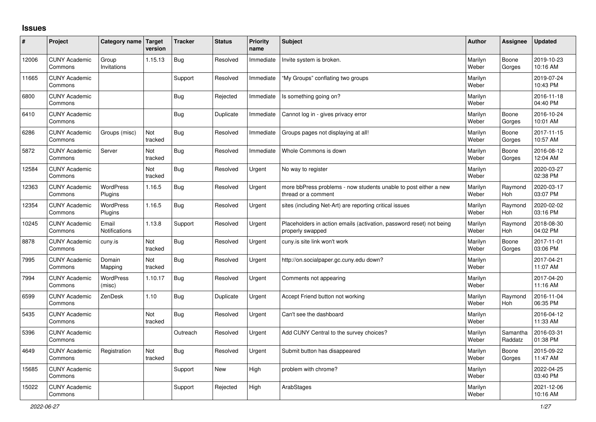## **Issues**

| ∦     | Project                         | Category name Target        | version        | <b>Tracker</b> | <b>Status</b> | <b>Priority</b><br>name | <b>Subject</b>                                                                           | <b>Author</b>    | Assignee            | <b>Updated</b>         |
|-------|---------------------------------|-----------------------------|----------------|----------------|---------------|-------------------------|------------------------------------------------------------------------------------------|------------------|---------------------|------------------------|
| 12006 | <b>CUNY Academic</b><br>Commons | Group<br>Invitations        | 1.15.13        | <b>Bug</b>     | Resolved      | Immediate               | Invite system is broken.                                                                 | Marilyn<br>Weber | Boone<br>Gorges     | 2019-10-23<br>10:16 AM |
| 11665 | <b>CUNY Academic</b><br>Commons |                             |                | Support        | Resolved      | Immediate               | "My Groups" conflating two groups                                                        | Marilyn<br>Weber |                     | 2019-07-24<br>10:43 PM |
| 6800  | <b>CUNY Academic</b><br>Commons |                             |                | <b>Bug</b>     | Rejected      | Immediate               | Is something going on?                                                                   | Marilyn<br>Weber |                     | 2016-11-18<br>04:40 PM |
| 6410  | <b>CUNY Academic</b><br>Commons |                             |                | Bug            | Duplicate     | Immediate               | Cannot log in - gives privacy error                                                      | Marilyn<br>Weber | Boone<br>Gorges     | 2016-10-24<br>10:01 AM |
| 6286  | <b>CUNY Academic</b><br>Commons | Groups (misc)               | Not<br>tracked | <b>Bug</b>     | Resolved      | Immediate               | Groups pages not displaying at all!                                                      | Marilyn<br>Weber | Boone<br>Gorges     | 2017-11-15<br>10:57 AM |
| 5872  | <b>CUNY Academic</b><br>Commons | Server                      | Not<br>tracked | Bug            | Resolved      | Immediate               | Whole Commons is down                                                                    | Marilyn<br>Weber | Boone<br>Gorges     | 2016-08-12<br>12:04 AM |
| 12584 | <b>CUNY Academic</b><br>Commons |                             | Not<br>tracked | <b>Bug</b>     | Resolved      | Urgent                  | No way to register                                                                       | Marilyn<br>Weber |                     | 2020-03-27<br>02:38 PM |
| 12363 | <b>CUNY Academic</b><br>Commons | <b>WordPress</b><br>Plugins | 1.16.5         | <b>Bug</b>     | Resolved      | Urgent                  | more bbPress problems - now students unable to post either a new<br>thread or a comment  | Marilyn<br>Weber | Raymond<br>Hoh      | 2020-03-17<br>03:07 PM |
| 12354 | <b>CUNY Academic</b><br>Commons | <b>WordPress</b><br>Plugins | 1.16.5         | Bug            | Resolved      | Urgent                  | sites (including Net-Art) are reporting critical issues                                  | Marilyn<br>Weber | Raymond<br>Hoh      | 2020-02-02<br>03:16 PM |
| 10245 | <b>CUNY Academic</b><br>Commons | Email<br>Notifications      | 1.13.8         | Support        | Resolved      | Urgent                  | Placeholders in action emails (activation, password reset) not being<br>properly swapped | Marilyn<br>Weber | Raymond<br>Hoh      | 2018-08-30<br>04:02 PM |
| 8878  | <b>CUNY Academic</b><br>Commons | cuny.is                     | Not<br>tracked | Bug            | Resolved      | Urgent                  | cuny is site link won't work                                                             | Marilyn<br>Weber | Boone<br>Gorges     | 2017-11-01<br>03:06 PM |
| 7995  | <b>CUNY Academic</b><br>Commons | Domain<br>Mapping           | Not<br>tracked | Bug            | Resolved      | Urgent                  | http://on.socialpaper.gc.cuny.edu down?                                                  | Marilyn<br>Weber |                     | 2017-04-21<br>11:07 AM |
| 7994  | <b>CUNY Academic</b><br>Commons | WordPress<br>(misc)         | 1.10.17        | Bug            | Resolved      | Urgent                  | Comments not appearing                                                                   | Marilyn<br>Weber |                     | 2017-04-20<br>11:16 AM |
| 6599  | <b>CUNY Academic</b><br>Commons | ZenDesk                     | 1.10           | Bug            | Duplicate     | Urgent                  | Accept Friend button not working                                                         | Marilyn<br>Weber | Raymond<br>Hoh      | 2016-11-04<br>06:35 PM |
| 5435  | <b>CUNY Academic</b><br>Commons |                             | Not<br>tracked | Bug            | Resolved      | Urgent                  | Can't see the dashboard                                                                  | Marilyn<br>Weber |                     | 2016-04-12<br>11:33 AM |
| 5396  | <b>CUNY Academic</b><br>Commons |                             |                | Outreach       | Resolved      | Urgent                  | Add CUNY Central to the survey choices?                                                  | Marilyn<br>Weber | Samantha<br>Raddatz | 2016-03-31<br>01:38 PM |
| 4649  | <b>CUNY Academic</b><br>Commons | Registration                | Not<br>tracked | Bug            | Resolved      | Urgent                  | Submit button has disappeared                                                            | Marilyn<br>Weber | Boone<br>Gorges     | 2015-09-22<br>11:47 AM |
| 15685 | <b>CUNY Academic</b><br>Commons |                             |                | Support        | <b>New</b>    | High                    | problem with chrome?                                                                     | Marilyn<br>Weber |                     | 2022-04-25<br>03:40 PM |
| 15022 | <b>CUNY Academic</b><br>Commons |                             |                | Support        | Rejected      | High                    | ArabStages                                                                               | Marilyn<br>Weber |                     | 2021-12-06<br>10:16 AM |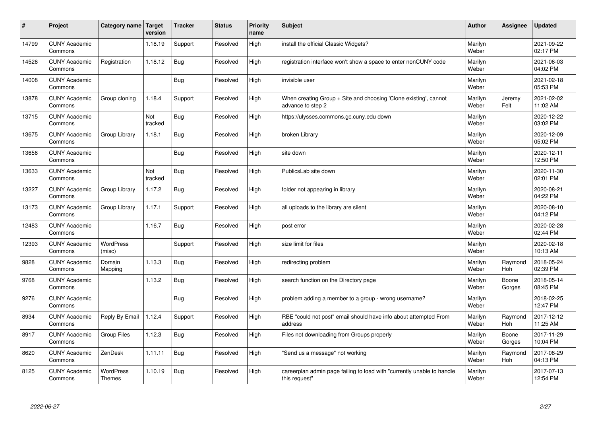| $\sharp$ | Project                         | Category name   Target            | version        | <b>Tracker</b> | <b>Status</b> | <b>Priority</b><br>name | <b>Subject</b>                                                                          | <b>Author</b>    | Assignee        | <b>Updated</b>         |
|----------|---------------------------------|-----------------------------------|----------------|----------------|---------------|-------------------------|-----------------------------------------------------------------------------------------|------------------|-----------------|------------------------|
| 14799    | <b>CUNY Academic</b><br>Commons |                                   | 1.18.19        | Support        | Resolved      | High                    | install the official Classic Widgets?                                                   | Marilyn<br>Weber |                 | 2021-09-22<br>02:17 PM |
| 14526    | <b>CUNY Academic</b><br>Commons | Registration                      | 1.18.12        | Bug            | Resolved      | High                    | registration interface won't show a space to enter nonCUNY code                         | Marilyn<br>Weber |                 | 2021-06-03<br>04:02 PM |
| 14008    | <b>CUNY Academic</b><br>Commons |                                   |                | <b>Bug</b>     | Resolved      | High                    | invisible user                                                                          | Marilyn<br>Weber |                 | 2021-02-18<br>05:53 PM |
| 13878    | <b>CUNY Academic</b><br>Commons | Group cloning                     | 1.18.4         | Support        | Resolved      | High                    | When creating Group + Site and choosing 'Clone existing', cannot<br>advance to step 2   | Marilyn<br>Weber | Jeremy<br>Felt  | 2021-02-02<br>11:02 AM |
| 13715    | <b>CUNY Academic</b><br>Commons |                                   | Not<br>tracked | <b>Bug</b>     | Resolved      | High                    | https://ulysses.commons.gc.cuny.edu down                                                | Marilyn<br>Weber |                 | 2020-12-22<br>03:02 PM |
| 13675    | <b>CUNY Academic</b><br>Commons | Group Library                     | 1.18.1         | <b>Bug</b>     | Resolved      | High                    | broken Library                                                                          | Marilyn<br>Weber |                 | 2020-12-09<br>05:02 PM |
| 13656    | <b>CUNY Academic</b><br>Commons |                                   |                | Bug            | Resolved      | High                    | site down                                                                               | Marilyn<br>Weber |                 | 2020-12-11<br>12:50 PM |
| 13633    | <b>CUNY Academic</b><br>Commons |                                   | Not<br>tracked | <b>Bug</b>     | Resolved      | High                    | PublicsLab site down                                                                    | Marilyn<br>Weber |                 | 2020-11-30<br>02:01 PM |
| 13227    | <b>CUNY Academic</b><br>Commons | Group Library                     | 1.17.2         | <b>Bug</b>     | Resolved      | High                    | folder not appearing in library                                                         | Marilyn<br>Weber |                 | 2020-08-21<br>04:22 PM |
| 13173    | <b>CUNY Academic</b><br>Commons | Group Library                     | 1.17.1         | Support        | Resolved      | High                    | all uploads to the library are silent                                                   | Marilyn<br>Weber |                 | 2020-08-10<br>04:12 PM |
| 12483    | <b>CUNY Academic</b><br>Commons |                                   | 1.16.7         | <b>Bug</b>     | Resolved      | High                    | post error                                                                              | Marilyn<br>Weber |                 | 2020-02-28<br>02:44 PM |
| 12393    | <b>CUNY Academic</b><br>Commons | <b>WordPress</b><br>(misc)        |                | Support        | Resolved      | High                    | size limit for files                                                                    | Marilyn<br>Weber |                 | 2020-02-18<br>10:13 AM |
| 9828     | <b>CUNY Academic</b><br>Commons | Domain<br>Mapping                 | 1.13.3         | Bug            | Resolved      | High                    | redirecting problem                                                                     | Marilyn<br>Weber | Raymond<br>Hoh  | 2018-05-24<br>02:39 PM |
| 9768     | <b>CUNY Academic</b><br>Commons |                                   | 1.13.2         | Bug            | Resolved      | High                    | search function on the Directory page                                                   | Marilyn<br>Weber | Boone<br>Gorges | 2018-05-14<br>08:45 PM |
| 9276     | <b>CUNY Academic</b><br>Commons |                                   |                | <b>Bug</b>     | Resolved      | High                    | problem adding a member to a group - wrong username?                                    | Marilyn<br>Weber |                 | 2018-02-25<br>12:47 PM |
| 8934     | <b>CUNY Academic</b><br>Commons | Reply By Email                    | 1.12.4         | Support        | Resolved      | High                    | RBE "could not post" email should have info about attempted From<br>address             | Marilyn<br>Weber | Raymond<br>Hoh  | 2017-12-12<br>11:25 AM |
| 8917     | <b>CUNY Academic</b><br>Commons | <b>Group Files</b>                | 1.12.3         | Bug            | Resolved      | High                    | Files not downloading from Groups properly                                              | Marilyn<br>Weber | Boone<br>Gorges | 2017-11-29<br>10:04 PM |
| 8620     | <b>CUNY Academic</b><br>Commons | ZenDesk                           | 1.11.11        | <b>Bug</b>     | Resolved      | High                    | 'Send us a message" not working                                                         | Marilyn<br>Weber | Raymond<br>Hoh  | 2017-08-29<br>04:13 PM |
| 8125     | <b>CUNY Academic</b><br>Commons | <b>WordPress</b><br><b>Themes</b> | 1.10.19        | Bug            | Resolved      | High                    | careerplan admin page failing to load with "currently unable to handle<br>this request" | Marilyn<br>Weber |                 | 2017-07-13<br>12:54 PM |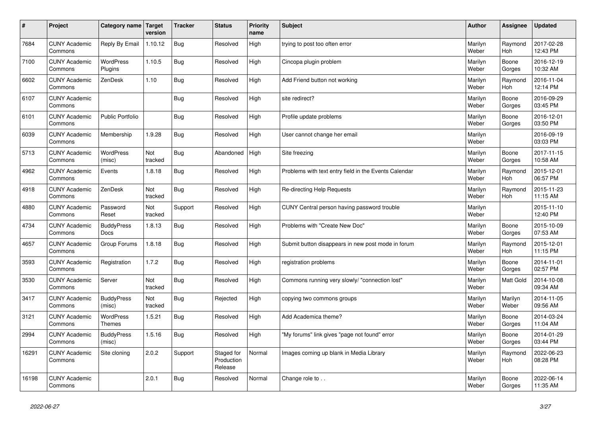| #     | Project                         | Category name   Target            | version        | <b>Tracker</b> | <b>Status</b>                       | <b>Priority</b><br>name | <b>Subject</b>                                        | <b>Author</b>    | Assignee              | <b>Updated</b>         |
|-------|---------------------------------|-----------------------------------|----------------|----------------|-------------------------------------|-------------------------|-------------------------------------------------------|------------------|-----------------------|------------------------|
| 7684  | <b>CUNY Academic</b><br>Commons | Reply By Email                    | 1.10.12        | Bug            | Resolved                            | High                    | trying to post too often error                        | Marilyn<br>Weber | Raymond<br>Hoh        | 2017-02-28<br>12:43 PM |
| 7100  | <b>CUNY Academic</b><br>Commons | <b>WordPress</b><br>Plugins       | 1.10.5         | Bug            | Resolved                            | High                    | Cincopa plugin problem                                | Marilyn<br>Weber | Boone<br>Gorges       | 2016-12-19<br>10:32 AM |
| 6602  | <b>CUNY Academic</b><br>Commons | ZenDesk                           | 1.10           | <b>Bug</b>     | Resolved                            | High                    | Add Friend button not working                         | Marilyn<br>Weber | Raymond<br>Hoh        | 2016-11-04<br>12:14 PM |
| 6107  | <b>CUNY Academic</b><br>Commons |                                   |                | <b>Bug</b>     | Resolved                            | High                    | site redirect?                                        | Marilyn<br>Weber | Boone<br>Gorges       | 2016-09-29<br>03:45 PM |
| 6101  | <b>CUNY Academic</b><br>Commons | <b>Public Portfolio</b>           |                | <b>Bug</b>     | Resolved                            | High                    | Profile update problems                               | Marilyn<br>Weber | Boone<br>Gorges       | 2016-12-01<br>03:50 PM |
| 6039  | <b>CUNY Academic</b><br>Commons | Membership                        | 1.9.28         | Bug            | Resolved                            | High                    | User cannot change her email                          | Marilyn<br>Weber |                       | 2016-09-19<br>03:03 PM |
| 5713  | <b>CUNY Academic</b><br>Commons | <b>WordPress</b><br>(misc)        | Not<br>tracked | <b>Bug</b>     | Abandoned                           | High                    | Site freezing                                         | Marilyn<br>Weber | Boone<br>Gorges       | 2017-11-15<br>10:58 AM |
| 4962  | <b>CUNY Academic</b><br>Commons | Events                            | 1.8.18         | Bug            | Resolved                            | High                    | Problems with text entry field in the Events Calendar | Marilyn<br>Weber | Raymond<br>Hoh        | 2015-12-01<br>06:57 PM |
| 4918  | <b>CUNY Academic</b><br>Commons | ZenDesk                           | Not<br>tracked | Bug            | Resolved                            | High                    | Re-directing Help Requests                            | Marilyn<br>Weber | Raymond<br><b>Hoh</b> | 2015-11-23<br>11:15 AM |
| 4880  | <b>CUNY Academic</b><br>Commons | Password<br>Reset                 | Not<br>tracked | Support        | Resolved                            | High                    | CUNY Central person having password trouble           | Marilyn<br>Weber |                       | 2015-11-10<br>12:40 PM |
| 4734  | <b>CUNY Academic</b><br>Commons | <b>BuddyPress</b><br><b>Docs</b>  | 1.8.13         | <b>Bug</b>     | Resolved                            | High                    | Problems with "Create New Doc"                        | Marilyn<br>Weber | Boone<br>Gorges       | 2015-10-09<br>07:53 AM |
| 4657  | <b>CUNY Academic</b><br>Commons | Group Forums                      | 1.8.18         | <b>Bug</b>     | Resolved                            | High                    | Submit button disappears in new post mode in forum    | Marilyn<br>Weber | Raymond<br><b>Hoh</b> | 2015-12-01<br>11:15 PM |
| 3593  | <b>CUNY Academic</b><br>Commons | Registration                      | 1.7.2          | Bug            | Resolved                            | High                    | registration problems                                 | Marilyn<br>Weber | Boone<br>Gorges       | 2014-11-01<br>02:57 PM |
| 3530  | <b>CUNY Academic</b><br>Commons | Server                            | Not<br>tracked | Bug            | Resolved                            | High                    | Commons running very slowly/ "connection lost"        | Marilyn<br>Weber | <b>Matt Gold</b>      | 2014-10-08<br>09:34 AM |
| 3417  | <b>CUNY Academic</b><br>Commons | <b>BuddyPress</b><br>(misc)       | Not<br>tracked | <b>Bug</b>     | Rejected                            | High                    | copying two commons groups                            | Marilyn<br>Weber | Marilyn<br>Weber      | 2014-11-05<br>09:56 AM |
| 3121  | <b>CUNY Academic</b><br>Commons | <b>WordPress</b><br><b>Themes</b> | 1.5.21         | Bug            | Resolved                            | High                    | Add Academica theme?                                  | Marilyn<br>Weber | Boone<br>Gorges       | 2014-03-24<br>11:04 AM |
| 2994  | <b>CUNY Academic</b><br>Commons | <b>BuddyPress</b><br>(misc)       | 1.5.16         | <b>Bug</b>     | Resolved                            | High                    | 'My forums" link gives "page not found" error         | Marilyn<br>Weber | Boone<br>Gorges       | 2014-01-29<br>03:44 PM |
| 16291 | <b>CUNY Academic</b><br>Commons | Site cloning                      | 2.0.2          | Support        | Staged for<br>Production<br>Release | Normal                  | Images coming up blank in Media Library               | Marilyn<br>Weber | Raymond<br><b>Hoh</b> | 2022-06-23<br>08:28 PM |
| 16198 | <b>CUNY Academic</b><br>Commons |                                   | 2.0.1          | Bug            | Resolved                            | Normal                  | Change role to                                        | Marilyn<br>Weber | Boone<br>Gorges       | 2022-06-14<br>11:35 AM |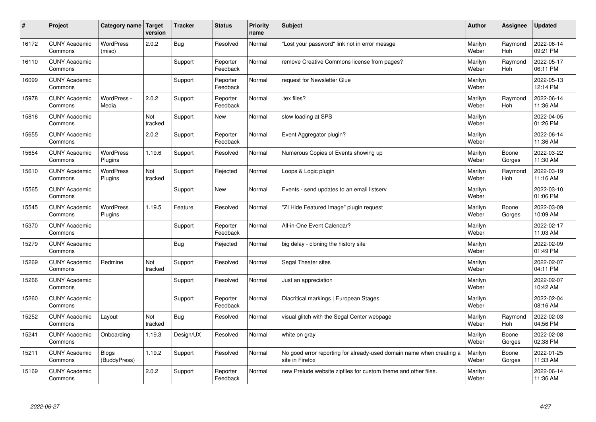| #     | Project                         | Category name               | Target<br>version | <b>Tracker</b> | <b>Status</b>        | <b>Priority</b><br>name | <b>Subject</b>                                                                          | <b>Author</b>    | Assignee              | <b>Updated</b>         |
|-------|---------------------------------|-----------------------------|-------------------|----------------|----------------------|-------------------------|-----------------------------------------------------------------------------------------|------------------|-----------------------|------------------------|
| 16172 | <b>CUNY Academic</b><br>Commons | <b>WordPress</b><br>(misc)  | 2.0.2             | Bug            | Resolved             | Normal                  | 'Lost your password" link not in error messge                                           | Marilyn<br>Weber | Raymond<br>Hoh        | 2022-06-14<br>09:21 PM |
| 16110 | <b>CUNY Academic</b><br>Commons |                             |                   | Support        | Reporter<br>Feedback | Normal                  | remove Creative Commons license from pages?                                             | Marilyn<br>Weber | Raymond<br>Hoh        | 2022-05-17<br>06:11 PM |
| 16099 | <b>CUNY Academic</b><br>Commons |                             |                   | Support        | Reporter<br>Feedback | Normal                  | request for Newsletter Glue                                                             | Marilyn<br>Weber |                       | 2022-05-13<br>12:14 PM |
| 15978 | <b>CUNY Academic</b><br>Commons | WordPress -<br>Media        | 2.0.2             | Support        | Reporter<br>Feedback | Normal                  | tex files?                                                                              | Marilyn<br>Weber | Raymond<br><b>Hoh</b> | 2022-06-14<br>11:36 AM |
| 15816 | <b>CUNY Academic</b><br>Commons |                             | Not<br>tracked    | Support        | <b>New</b>           | Normal                  | slow loading at SPS                                                                     | Marilyn<br>Weber |                       | 2022-04-05<br>01:26 PM |
| 15655 | <b>CUNY Academic</b><br>Commons |                             | 2.0.2             | Support        | Reporter<br>Feedback | Normal                  | Event Aggregator plugin?                                                                | Marilyn<br>Weber |                       | 2022-06-14<br>11:36 AM |
| 15654 | <b>CUNY Academic</b><br>Commons | <b>WordPress</b><br>Plugins | 1.19.6            | Support        | Resolved             | Normal                  | Numerous Copies of Events showing up                                                    | Marilyn<br>Weber | Boone<br>Gorges       | 2022-03-22<br>11:30 AM |
| 15610 | <b>CUNY Academic</b><br>Commons | <b>WordPress</b><br>Plugins | Not<br>tracked    | Support        | Rejected             | Normal                  | Loops & Logic plugin                                                                    | Marilyn<br>Weber | Raymond<br>Hoh        | 2022-03-19<br>11:16 AM |
| 15565 | <b>CUNY Academic</b><br>Commons |                             |                   | Support        | New                  | Normal                  | Events - send updates to an email listserv                                              | Marilyn<br>Weber |                       | 2022-03-10<br>01:06 PM |
| 15545 | <b>CUNY Academic</b><br>Commons | WordPress<br>Plugins        | 1.19.5            | Feature        | Resolved             | Normal                  | 'ZI Hide Featured Image" plugin request                                                 | Marilyn<br>Weber | Boone<br>Gorges       | 2022-03-09<br>10:09 AM |
| 15370 | <b>CUNY Academic</b><br>Commons |                             |                   | Support        | Reporter<br>Feedback | Normal                  | All-in-One Event Calendar?                                                              | Marilyn<br>Weber |                       | 2022-02-17<br>11:03 AM |
| 15279 | <b>CUNY Academic</b><br>Commons |                             |                   | Bug            | Rejected             | Normal                  | big delay - cloning the history site                                                    | Marilyn<br>Weber |                       | 2022-02-09<br>01:49 PM |
| 15269 | <b>CUNY Academic</b><br>Commons | Redmine                     | Not<br>tracked    | Support        | Resolved             | Normal                  | Segal Theater sites                                                                     | Marilyn<br>Weber |                       | 2022-02-07<br>04:11 PM |
| 15266 | <b>CUNY Academic</b><br>Commons |                             |                   | Support        | Resolved             | Normal                  | Just an appreciation                                                                    | Marilyn<br>Weber |                       | 2022-02-07<br>10:42 AM |
| 15260 | <b>CUNY Academic</b><br>Commons |                             |                   | Support        | Reporter<br>Feedback | Normal                  | Diacritical markings   European Stages                                                  | Marilyn<br>Weber |                       | 2022-02-04<br>08:16 AM |
| 15252 | <b>CUNY Academic</b><br>Commons | Layout                      | Not<br>tracked    | Bug            | Resolved             | Normal                  | visual glitch with the Segal Center webpage                                             | Marilyn<br>Weber | Raymond<br>Hoh        | 2022-02-03<br>04:56 PM |
| 15241 | <b>CUNY Academic</b><br>Commons | Onboarding                  | 1.19.3            | Design/UX      | Resolved             | Normal                  | white on gray                                                                           | Marilyn<br>Weber | Boone<br>Gorges       | 2022-02-08<br>02:38 PM |
| 15211 | <b>CUNY Academic</b><br>Commons | Blogs<br>(BuddyPress)       | 1.19.2            | Support        | Resolved             | Normal                  | No good error reporting for already-used domain name when creating a<br>site in Firefox | Marilyn<br>Weber | Boone<br>Gorges       | 2022-01-25<br>11:33 AM |
| 15169 | <b>CUNY Academic</b><br>Commons |                             | 2.0.2             | Support        | Reporter<br>Feedback | Normal                  | new Prelude website zipfiles for custom theme and other files.                          | Marilyn<br>Weber |                       | 2022-06-14<br>11:36 AM |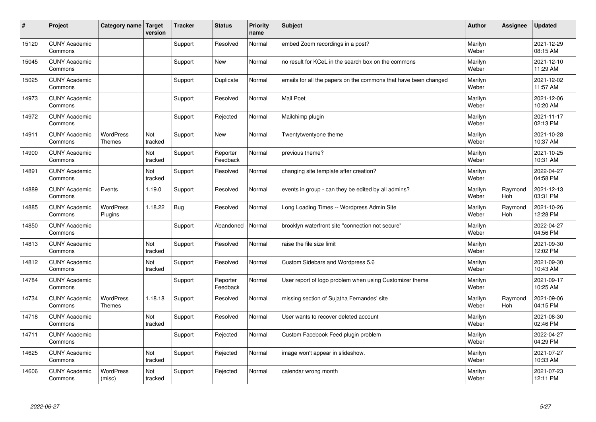| #     | Project                         | Category name   Target            | version        | <b>Tracker</b> | <b>Status</b>        | <b>Priority</b><br>name | <b>Subject</b>                                                  | <b>Author</b>    | Assignee              | <b>Updated</b>         |
|-------|---------------------------------|-----------------------------------|----------------|----------------|----------------------|-------------------------|-----------------------------------------------------------------|------------------|-----------------------|------------------------|
| 15120 | <b>CUNY Academic</b><br>Commons |                                   |                | Support        | Resolved             | Normal                  | embed Zoom recordings in a post?                                | Marilyn<br>Weber |                       | 2021-12-29<br>08:15 AM |
| 15045 | <b>CUNY Academic</b><br>Commons |                                   |                | Support        | <b>New</b>           | Normal                  | no result for KCeL in the search box on the commons             | Marilyn<br>Weber |                       | 2021-12-10<br>11:29 AM |
| 15025 | <b>CUNY Academic</b><br>Commons |                                   |                | Support        | Duplicate            | Normal                  | emails for all the papers on the commons that have been changed | Marilyn<br>Weber |                       | 2021-12-02<br>11:57 AM |
| 14973 | <b>CUNY Academic</b><br>Commons |                                   |                | Support        | Resolved             | Normal                  | <b>Mail Poet</b>                                                | Marilyn<br>Weber |                       | 2021-12-06<br>10:20 AM |
| 14972 | <b>CUNY Academic</b><br>Commons |                                   |                | Support        | Rejected             | Normal                  | Mailchimp plugin                                                | Marilyn<br>Weber |                       | 2021-11-17<br>02:13 PM |
| 14911 | <b>CUNY Academic</b><br>Commons | <b>WordPress</b><br><b>Themes</b> | Not<br>tracked | Support        | <b>New</b>           | Normal                  | Twentytwentyone theme                                           | Marilyn<br>Weber |                       | 2021-10-28<br>10:37 AM |
| 14900 | <b>CUNY Academic</b><br>Commons |                                   | Not<br>tracked | Support        | Reporter<br>Feedback | Normal                  | previous theme?                                                 | Marilyn<br>Weber |                       | 2021-10-25<br>10:31 AM |
| 14891 | <b>CUNY Academic</b><br>Commons |                                   | Not<br>tracked | Support        | Resolved             | Normal                  | changing site template after creation?                          | Marilyn<br>Weber |                       | 2022-04-27<br>04:58 PM |
| 14889 | <b>CUNY Academic</b><br>Commons | Events                            | 1.19.0         | Support        | Resolved             | Normal                  | events in group - can they be edited by all admins?             | Marilyn<br>Weber | Raymond<br>Hoh        | 2021-12-13<br>03:31 PM |
| 14885 | <b>CUNY Academic</b><br>Commons | <b>WordPress</b><br>Plugins       | 1.18.22        | Bug            | Resolved             | Normal                  | Long Loading Times -- Wordpress Admin Site                      | Marilyn<br>Weber | Raymond<br><b>Hoh</b> | 2021-10-26<br>12:28 PM |
| 14850 | <b>CUNY Academic</b><br>Commons |                                   |                | Support        | Abandoned            | Normal                  | brooklyn waterfront site "connection not secure"                | Marilyn<br>Weber |                       | 2022-04-27<br>04:56 PM |
| 14813 | <b>CUNY Academic</b><br>Commons |                                   | Not<br>tracked | Support        | Resolved             | Normal                  | raise the file size limit                                       | Marilyn<br>Weber |                       | 2021-09-30<br>12:02 PM |
| 14812 | <b>CUNY Academic</b><br>Commons |                                   | Not<br>tracked | Support        | Resolved             | Normal                  | Custom Sidebars and Wordpress 5.6                               | Marilyn<br>Weber |                       | 2021-09-30<br>10:43 AM |
| 14784 | <b>CUNY Academic</b><br>Commons |                                   |                | Support        | Reporter<br>Feedback | Normal                  | User report of logo problem when using Customizer theme         | Marilyn<br>Weber |                       | 2021-09-17<br>10:25 AM |
| 14734 | <b>CUNY Academic</b><br>Commons | <b>WordPress</b><br><b>Themes</b> | 1.18.18        | Support        | Resolved             | Normal                  | missing section of Sujatha Fernandes' site                      | Marilyn<br>Weber | Raymond<br>Hoh        | 2021-09-06<br>04:15 PM |
| 14718 | <b>CUNY Academic</b><br>Commons |                                   | Not<br>tracked | Support        | Resolved             | Normal                  | User wants to recover deleted account                           | Marilyn<br>Weber |                       | 2021-08-30<br>02:46 PM |
| 14711 | <b>CUNY Academic</b><br>Commons |                                   |                | Support        | Rejected             | Normal                  | Custom Facebook Feed plugin problem                             | Marilyn<br>Weber |                       | 2022-04-27<br>04:29 PM |
| 14625 | <b>CUNY Academic</b><br>Commons |                                   | Not<br>tracked | Support        | Rejected             | Normal                  | image won't appear in slideshow.                                | Marilyn<br>Weber |                       | 2021-07-27<br>10:33 AM |
| 14606 | <b>CUNY Academic</b><br>Commons | <b>WordPress</b><br>(misc)        | Not<br>tracked | Support        | Rejected             | Normal                  | calendar wrong month                                            | Marilyn<br>Weber |                       | 2021-07-23<br>12:11 PM |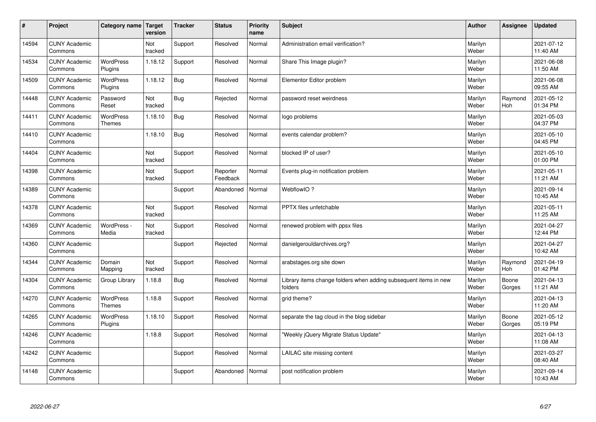| $\sharp$ | Project                         | Category name   Target            | version        | <b>Tracker</b> | <b>Status</b>        | <b>Priority</b><br>name | <b>Subject</b>                                                              | <b>Author</b>    | Assignee        | <b>Updated</b>         |
|----------|---------------------------------|-----------------------------------|----------------|----------------|----------------------|-------------------------|-----------------------------------------------------------------------------|------------------|-----------------|------------------------|
| 14594    | <b>CUNY Academic</b><br>Commons |                                   | Not<br>tracked | Support        | Resolved             | Normal                  | Administration email verification?                                          | Marilyn<br>Weber |                 | 2021-07-12<br>11:40 AM |
| 14534    | <b>CUNY Academic</b><br>Commons | <b>WordPress</b><br>Plugins       | 1.18.12        | Support        | Resolved             | Normal                  | Share This Image plugin?                                                    | Marilyn<br>Weber |                 | 2021-06-08<br>11:50 AM |
| 14509    | <b>CUNY Academic</b><br>Commons | <b>WordPress</b><br>Plugins       | 1.18.12        | Bug            | Resolved             | Normal                  | Elementor Editor problem                                                    | Marilyn<br>Weber |                 | 2021-06-08<br>09:55 AM |
| 14448    | <b>CUNY Academic</b><br>Commons | Password<br>Reset                 | Not<br>tracked | <b>Bug</b>     | Rejected             | Normal                  | password reset weirdness                                                    | Marilyn<br>Weber | Raymond<br>Hoh  | 2021-05-12<br>01:34 PM |
| 14411    | <b>CUNY Academic</b><br>Commons | <b>WordPress</b><br><b>Themes</b> | 1.18.10        | Bug            | Resolved             | Normal                  | logo problems                                                               | Marilyn<br>Weber |                 | 2021-05-03<br>04:37 PM |
| 14410    | <b>CUNY Academic</b><br>Commons |                                   | 1.18.10        | <b>Bug</b>     | Resolved             | Normal                  | events calendar problem?                                                    | Marilyn<br>Weber |                 | 2021-05-10<br>04:45 PM |
| 14404    | <b>CUNY Academic</b><br>Commons |                                   | Not<br>tracked | Support        | Resolved             | Normal                  | blocked IP of user?                                                         | Marilyn<br>Weber |                 | 2021-05-10<br>01:00 PM |
| 14398    | <b>CUNY Academic</b><br>Commons |                                   | Not<br>tracked | Support        | Reporter<br>Feedback | Normal                  | Events plug-in notification problem                                         | Marilyn<br>Weber |                 | 2021-05-11<br>11:21 AM |
| 14389    | <b>CUNY Academic</b><br>Commons |                                   |                | Support        | Abandoned            | Normal                  | WebflowIO?                                                                  | Marilyn<br>Weber |                 | 2021-09-14<br>10:45 AM |
| 14378    | <b>CUNY Academic</b><br>Commons |                                   | Not<br>tracked | Support        | Resolved             | Normal                  | PPTX files unfetchable                                                      | Marilyn<br>Weber |                 | 2021-05-11<br>11:25 AM |
| 14369    | <b>CUNY Academic</b><br>Commons | WordPress -<br>Media              | Not<br>tracked | Support        | Resolved             | Normal                  | renewed problem with ppsx files                                             | Marilyn<br>Weber |                 | 2021-04-27<br>12:44 PM |
| 14360    | <b>CUNY Academic</b><br>Commons |                                   |                | Support        | Rejected             | Normal                  | danielgerouldarchives.org?                                                  | Marilyn<br>Weber |                 | 2021-04-27<br>10:42 AM |
| 14344    | <b>CUNY Academic</b><br>Commons | Domain<br>Mapping                 | Not<br>tracked | Support        | Resolved             | Normal                  | arabstages.org site down                                                    | Marilyn<br>Weber | Raymond<br>Hoh  | 2021-04-19<br>01:42 PM |
| 14304    | <b>CUNY Academic</b><br>Commons | Group Library                     | 1.18.8         | Bug            | Resolved             | Normal                  | Library items change folders when adding subsequent items in new<br>folders | Marilyn<br>Weber | Boone<br>Gorges | 2021-04-13<br>11:21 AM |
| 14270    | <b>CUNY Academic</b><br>Commons | WordPress<br><b>Themes</b>        | 1.18.8         | Support        | Resolved             | Normal                  | grid theme?                                                                 | Marilyn<br>Weber |                 | 2021-04-13<br>11:20 AM |
| 14265    | <b>CUNY Academic</b><br>Commons | <b>WordPress</b><br>Plugins       | 1.18.10        | Support        | Resolved             | Normal                  | separate the tag cloud in the blog sidebar                                  | Marilyn<br>Weber | Boone<br>Gorges | 2021-05-12<br>05:19 PM |
| 14246    | <b>CUNY Academic</b><br>Commons |                                   | 1.18.8         | Support        | Resolved             | Normal                  | 'Weekly jQuery Migrate Status Update"                                       | Marilyn<br>Weber |                 | 2021-04-13<br>11:08 AM |
| 14242    | <b>CUNY Academic</b><br>Commons |                                   |                | Support        | Resolved             | Normal                  | LAILAC site missing content                                                 | Marilyn<br>Weber |                 | 2021-03-27<br>08:40 AM |
| 14148    | <b>CUNY Academic</b><br>Commons |                                   |                | Support        | Abandoned            | Normal                  | post notification problem                                                   | Marilyn<br>Weber |                 | 2021-09-14<br>10:43 AM |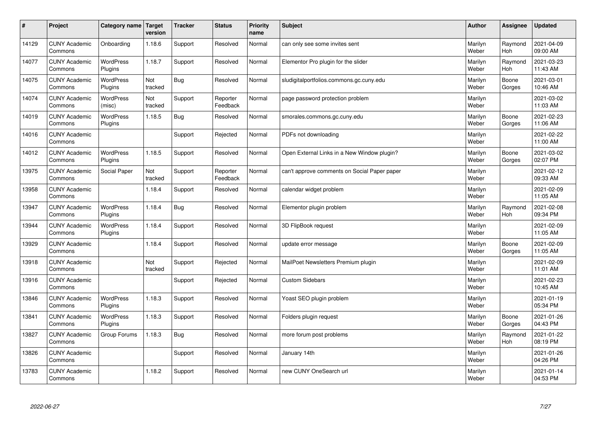| #     | Project                         | Category name               | Target<br>version | <b>Tracker</b> | <b>Status</b>        | <b>Priority</b><br>name | <b>Subject</b>                               | <b>Author</b>    | Assignee        | <b>Updated</b>         |
|-------|---------------------------------|-----------------------------|-------------------|----------------|----------------------|-------------------------|----------------------------------------------|------------------|-----------------|------------------------|
| 14129 | <b>CUNY Academic</b><br>Commons | Onboarding                  | 1.18.6            | Support        | Resolved             | Normal                  | can only see some invites sent               | Marilyn<br>Weber | Raymond<br>Hoh  | 2021-04-09<br>09:00 AM |
| 14077 | <b>CUNY Academic</b><br>Commons | <b>WordPress</b><br>Plugins | 1.18.7            | Support        | Resolved             | Normal                  | Elementor Pro plugin for the slider          | Marilyn<br>Weber | Raymond<br>Hoh  | 2021-03-23<br>11:43 AM |
| 14075 | <b>CUNY Academic</b><br>Commons | <b>WordPress</b><br>Plugins | Not<br>tracked    | Bug            | Resolved             | Normal                  | sludigitalportfolios.commons.gc.cuny.edu     | Marilyn<br>Weber | Boone<br>Gorges | 2021-03-01<br>10:46 AM |
| 14074 | <b>CUNY Academic</b><br>Commons | <b>WordPress</b><br>(misc)  | Not<br>tracked    | Support        | Reporter<br>Feedback | Normal                  | page password protection problem             | Marilyn<br>Weber |                 | 2021-03-02<br>11:03 AM |
| 14019 | <b>CUNY Academic</b><br>Commons | <b>WordPress</b><br>Plugins | 1.18.5            | Bug            | Resolved             | Normal                  | smorales.commons.gc.cuny.edu                 | Marilyn<br>Weber | Boone<br>Gorges | 2021-02-23<br>11:06 AM |
| 14016 | <b>CUNY Academic</b><br>Commons |                             |                   | Support        | Rejected             | Normal                  | PDFs not downloading                         | Marilyn<br>Weber |                 | 2021-02-22<br>11:00 AM |
| 14012 | <b>CUNY Academic</b><br>Commons | <b>WordPress</b><br>Plugins | 1.18.5            | Support        | Resolved             | Normal                  | Open External Links in a New Window plugin?  | Marilyn<br>Weber | Boone<br>Gorges | 2021-03-02<br>02:07 PM |
| 13975 | <b>CUNY Academic</b><br>Commons | Social Paper                | Not<br>tracked    | Support        | Reporter<br>Feedback | Normal                  | can't approve comments on Social Paper paper | Marilyn<br>Weber |                 | 2021-02-12<br>09:33 AM |
| 13958 | <b>CUNY Academic</b><br>Commons |                             | 1.18.4            | Support        | Resolved             | Normal                  | calendar widget problem                      | Marilyn<br>Weber |                 | 2021-02-09<br>11:05 AM |
| 13947 | <b>CUNY Academic</b><br>Commons | WordPress<br>Plugins        | 1.18.4            | Bug            | Resolved             | Normal                  | Elementor plugin problem                     | Marilyn<br>Weber | Raymond<br>Hoh  | 2021-02-08<br>09:34 PM |
| 13944 | <b>CUNY Academic</b><br>Commons | WordPress<br>Plugins        | 1.18.4            | Support        | Resolved             | Normal                  | 3D FlipBook request                          | Marilyn<br>Weber |                 | 2021-02-09<br>11:05 AM |
| 13929 | <b>CUNY Academic</b><br>Commons |                             | 1.18.4            | Support        | Resolved             | Normal                  | update error message                         | Marilyn<br>Weber | Boone<br>Gorges | 2021-02-09<br>11:05 AM |
| 13918 | <b>CUNY Academic</b><br>Commons |                             | Not<br>tracked    | Support        | Rejected             | Normal                  | MailPoet Newsletters Premium plugin          | Marilyn<br>Weber |                 | 2021-02-09<br>11:01 AM |
| 13916 | <b>CUNY Academic</b><br>Commons |                             |                   | Support        | Rejected             | Normal                  | <b>Custom Sidebars</b>                       | Marilyn<br>Weber |                 | 2021-02-23<br>10:45 AM |
| 13846 | <b>CUNY Academic</b><br>Commons | <b>WordPress</b><br>Plugins | 1.18.3            | Support        | Resolved             | Normal                  | Yoast SEO plugin problem                     | Marilyn<br>Weber |                 | 2021-01-19<br>05:34 PM |
| 13841 | <b>CUNY Academic</b><br>Commons | <b>WordPress</b><br>Plugins | 1.18.3            | Support        | Resolved             | Normal                  | Folders plugin request                       | Marilyn<br>Weber | Boone<br>Gorges | 2021-01-26<br>04:43 PM |
| 13827 | <b>CUNY Academic</b><br>Commons | Group Forums                | 1.18.3            | Bug            | Resolved             | Normal                  | more forum post problems                     | Marilyn<br>Weber | Raymond<br>Hoh  | 2021-01-22<br>08:19 PM |
| 13826 | <b>CUNY Academic</b><br>Commons |                             |                   | Support        | Resolved             | Normal                  | January 14th                                 | Marilyn<br>Weber |                 | 2021-01-26<br>04:26 PM |
| 13783 | <b>CUNY Academic</b><br>Commons |                             | 1.18.2            | Support        | Resolved             | Normal                  | new CUNY OneSearch url                       | Marilyn<br>Weber |                 | 2021-01-14<br>04:53 PM |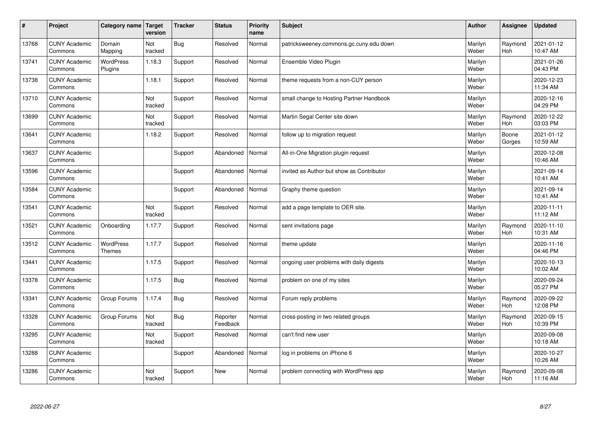| $\pmb{\#}$ | Project                         | Category name                     | Target<br>version | <b>Tracker</b> | <b>Status</b>        | <b>Priority</b><br>name | <b>Subject</b>                            | <b>Author</b>    | Assignee        | <b>Updated</b>         |
|------------|---------------------------------|-----------------------------------|-------------------|----------------|----------------------|-------------------------|-------------------------------------------|------------------|-----------------|------------------------|
| 13768      | <b>CUNY Academic</b><br>Commons | Domain<br>Mapping                 | Not<br>tracked    | <b>Bug</b>     | Resolved             | Normal                  | patricksweeney.commons.gc.cuny.edu down   | Marilyn<br>Weber | Raymond<br>Hoh  | 2021-01-12<br>10:47 AM |
| 13741      | <b>CUNY Academic</b><br>Commons | WordPress<br>Plugins              | 1.18.3            | Support        | Resolved             | Normal                  | Ensemble Video Plugin                     | Marilyn<br>Weber |                 | 2021-01-26<br>04:43 PM |
| 13738      | <b>CUNY Academic</b><br>Commons |                                   | 1.18.1            | Support        | Resolved             | Normal                  | theme requests from a non-CUY person      | Marilyn<br>Weber |                 | 2020-12-23<br>11:34 AM |
| 13710      | <b>CUNY Academic</b><br>Commons |                                   | Not<br>tracked    | Support        | Resolved             | Normal                  | small change to Hosting Partner Handbook  | Marilyn<br>Weber |                 | 2020-12-16<br>04:29 PM |
| 13699      | <b>CUNY Academic</b><br>Commons |                                   | Not<br>tracked    | Support        | Resolved             | Normal                  | Martin Segal Center site down             | Marilyn<br>Weber | Raymond<br>Hoh  | 2020-12-22<br>03:03 PM |
| 13641      | <b>CUNY Academic</b><br>Commons |                                   | 1.18.2            | Support        | Resolved             | Normal                  | follow up to migration request            | Marilyn<br>Weber | Boone<br>Gorges | 2021-01-12<br>10:59 AM |
| 13637      | <b>CUNY Academic</b><br>Commons |                                   |                   | Support        | Abandoned            | Normal                  | All-in-One Migration plugin request       | Marilyn<br>Weber |                 | 2020-12-08<br>10:46 AM |
| 13596      | <b>CUNY Academic</b><br>Commons |                                   |                   | Support        | Abandoned            | Normal                  | invited as Author but show as Contributor | Marilyn<br>Weber |                 | 2021-09-14<br>10:41 AM |
| 13584      | <b>CUNY Academic</b><br>Commons |                                   |                   | Support        | Abandoned            | Normal                  | Graphy theme question                     | Marilyn<br>Weber |                 | 2021-09-14<br>10:41 AM |
| 13541      | <b>CUNY Academic</b><br>Commons |                                   | Not<br>tracked    | Support        | Resolved             | Normal                  | add a page template to OER site.          | Marilyn<br>Weber |                 | 2020-11-11<br>11:12 AM |
| 13521      | <b>CUNY Academic</b><br>Commons | Onboarding                        | 1.17.7            | Support        | Resolved             | Normal                  | sent invitations page                     | Marilyn<br>Weber | Raymond<br>Hoh  | 2020-11-10<br>10:31 AM |
| 13512      | <b>CUNY Academic</b><br>Commons | <b>WordPress</b><br><b>Themes</b> | 1.17.7            | Support        | Resolved             | Normal                  | theme update                              | Marilyn<br>Weber |                 | 2020-11-16<br>04:46 PM |
| 13441      | <b>CUNY Academic</b><br>Commons |                                   | 1.17.5            | Support        | Resolved             | Normal                  | ongoing user problems with daily digests  | Marilyn<br>Weber |                 | 2020-10-13<br>10:02 AM |
| 13378      | <b>CUNY Academic</b><br>Commons |                                   | 1.17.5            | <b>Bug</b>     | Resolved             | Normal                  | problem on one of my sites                | Marilyn<br>Weber |                 | 2020-09-24<br>05:27 PM |
| 13341      | <b>CUNY Academic</b><br>Commons | Group Forums                      | 1.17.4            | Bug            | Resolved             | Normal                  | Forum reply problems                      | Marilyn<br>Weber | Raymond<br>Hoh  | 2020-09-22<br>12:08 PM |
| 13328      | <b>CUNY Academic</b><br>Commons | Group Forums                      | Not<br>tracked    | <b>Bug</b>     | Reporter<br>Feedback | Normal                  | cross-posting in two related groups       | Marilyn<br>Weber | Raymond<br>Hoh  | 2020-09-15<br>10:39 PM |
| 13295      | <b>CUNY Academic</b><br>Commons |                                   | Not<br>tracked    | Support        | Resolved             | Normal                  | can't find new user                       | Marilyn<br>Weber |                 | 2020-09-08<br>10:18 AM |
| 13288      | <b>CUNY Academic</b><br>Commons |                                   |                   | Support        | Abandoned            | Normal                  | log in problems on iPhone 6               | Marilyn<br>Weber |                 | 2020-10-27<br>10:26 AM |
| 13286      | <b>CUNY Academic</b><br>Commons |                                   | Not<br>tracked    | Support        | New                  | Normal                  | problem connecting with WordPress app     | Marilyn<br>Weber | Raymond<br>Hoh  | 2020-09-08<br>11:16 AM |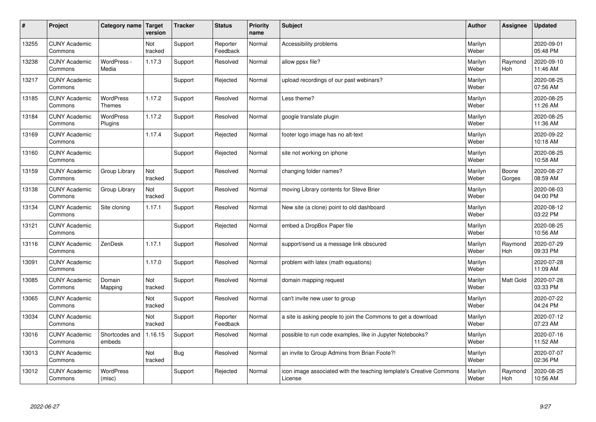| #     | Project                         | Category name   Target            | version        | <b>Tracker</b> | <b>Status</b>        | <b>Priority</b><br>name | <b>Subject</b>                                                                 | <b>Author</b>    | Assignee              | <b>Updated</b>         |
|-------|---------------------------------|-----------------------------------|----------------|----------------|----------------------|-------------------------|--------------------------------------------------------------------------------|------------------|-----------------------|------------------------|
| 13255 | <b>CUNY Academic</b><br>Commons |                                   | Not<br>tracked | Support        | Reporter<br>Feedback | Normal                  | Accessibility problems                                                         | Marilyn<br>Weber |                       | 2020-09-01<br>05:48 PM |
| 13238 | <b>CUNY Academic</b><br>Commons | WordPress -<br>Media              | 1.17.3         | Support        | Resolved             | Normal                  | allow ppsx file?                                                               | Marilyn<br>Weber | Raymond<br><b>Hoh</b> | 2020-09-10<br>11:46 AM |
| 13217 | <b>CUNY Academic</b><br>Commons |                                   |                | Support        | Rejected             | Normal                  | upload recordings of our past webinars?                                        | Marilyn<br>Weber |                       | 2020-08-25<br>07:56 AM |
| 13185 | <b>CUNY Academic</b><br>Commons | <b>WordPress</b><br><b>Themes</b> | 1.17.2         | Support        | Resolved             | Normal                  | Less theme?                                                                    | Marilyn<br>Weber |                       | 2020-08-25<br>11:26 AM |
| 13184 | <b>CUNY Academic</b><br>Commons | <b>WordPress</b><br>Plugins       | 1.17.2         | Support        | Resolved             | Normal                  | google translate plugin                                                        | Marilyn<br>Weber |                       | 2020-08-25<br>11:36 AM |
| 13169 | <b>CUNY Academic</b><br>Commons |                                   | 1.17.4         | Support        | Rejected             | Normal                  | footer logo image has no alt-text                                              | Marilyn<br>Weber |                       | 2020-09-22<br>10:18 AM |
| 13160 | <b>CUNY Academic</b><br>Commons |                                   |                | Support        | Rejected             | Normal                  | site not working on iphone                                                     | Marilyn<br>Weber |                       | 2020-08-25<br>10:58 AM |
| 13159 | <b>CUNY Academic</b><br>Commons | Group Library                     | Not<br>tracked | Support        | Resolved             | Normal                  | changing folder names?                                                         | Marilyn<br>Weber | Boone<br>Gorges       | 2020-08-27<br>08:59 AM |
| 13138 | <b>CUNY Academic</b><br>Commons | Group Library                     | Not<br>tracked | Support        | Resolved             | Normal                  | moving Library contents for Steve Brier                                        | Marilyn<br>Weber |                       | 2020-08-03<br>04:00 PM |
| 13134 | <b>CUNY Academic</b><br>Commons | Site cloning                      | 1.17.1         | Support        | Resolved             | Normal                  | New site (a clone) point to old dashboard                                      | Marilyn<br>Weber |                       | 2020-08-12<br>03:22 PM |
| 13121 | <b>CUNY Academic</b><br>Commons |                                   |                | Support        | Rejected             | Normal                  | embed a DropBox Paper file                                                     | Marilyn<br>Weber |                       | 2020-08-25<br>10:56 AM |
| 13116 | <b>CUNY Academic</b><br>Commons | ZenDesk                           | 1.17.1         | Support        | Resolved             | Normal                  | support/send us a message link obscured                                        | Marilyn<br>Weber | Raymond<br>Hoh        | 2020-07-29<br>09:33 PM |
| 13091 | <b>CUNY Academic</b><br>Commons |                                   | 1.17.0         | Support        | Resolved             | Normal                  | problem with latex (math equations)                                            | Marilyn<br>Weber |                       | 2020-07-28<br>11:09 AM |
| 13085 | <b>CUNY Academic</b><br>Commons | Domain<br>Mapping                 | Not<br>tracked | Support        | Resolved             | Normal                  | domain mapping request                                                         | Marilyn<br>Weber | Matt Gold             | 2020-07-28<br>03:33 PM |
| 13065 | <b>CUNY Academic</b><br>Commons |                                   | Not<br>tracked | Support        | Resolved             | Normal                  | can't invite new user to group                                                 | Marilyn<br>Weber |                       | 2020-07-22<br>04:24 PM |
| 13034 | <b>CUNY Academic</b><br>Commons |                                   | Not<br>tracked | Support        | Reporter<br>Feedback | Normal                  | a site is asking people to join the Commons to get a download                  | Marilyn<br>Weber |                       | 2020-07-12<br>07:23 AM |
| 13016 | <b>CUNY Academic</b><br>Commons | Shortcodes and<br>embeds          | 1.16.15        | Support        | Resolved             | Normal                  | possible to run code examples, like in Jupyter Notebooks?                      | Marilyn<br>Weber |                       | 2020-07-16<br>11:52 AM |
| 13013 | <b>CUNY Academic</b><br>Commons |                                   | Not<br>tracked | <b>Bug</b>     | Resolved             | Normal                  | an invite to Group Admins from Brian Foote?!                                   | Marilyn<br>Weber |                       | 2020-07-07<br>02:36 PM |
| 13012 | <b>CUNY Academic</b><br>Commons | <b>WordPress</b><br>(misc)        |                | Support        | Rejected             | Normal                  | icon image associated with the teaching template's Creative Commons<br>License | Marilyn<br>Weber | Raymond<br>Hoh        | 2020-08-25<br>10:56 AM |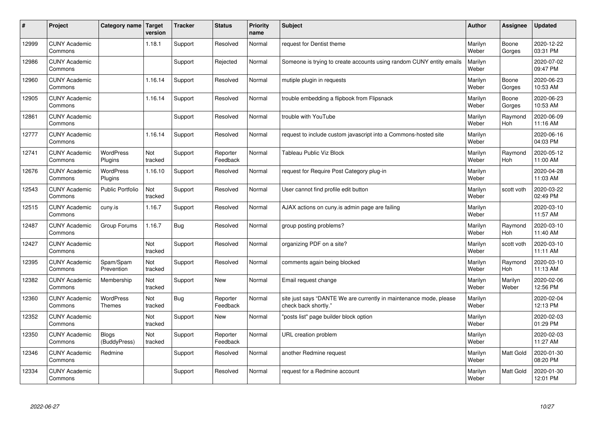| #     | Project                         | Category name                     | Target<br>version | <b>Tracker</b> | <b>Status</b>        | <b>Priority</b><br>name | <b>Subject</b>                                                                             | <b>Author</b>    | Assignee              | <b>Updated</b>         |
|-------|---------------------------------|-----------------------------------|-------------------|----------------|----------------------|-------------------------|--------------------------------------------------------------------------------------------|------------------|-----------------------|------------------------|
| 12999 | <b>CUNY Academic</b><br>Commons |                                   | 1.18.1            | Support        | Resolved             | Normal                  | request for Dentist theme                                                                  | Marilyn<br>Weber | Boone<br>Gorges       | 2020-12-22<br>03:31 PM |
| 12986 | <b>CUNY Academic</b><br>Commons |                                   |                   | Support        | Rejected             | Normal                  | Someone is trying to create accounts using random CUNY entity emails                       | Marilyn<br>Weber |                       | 2020-07-02<br>09:47 PM |
| 12960 | <b>CUNY Academic</b><br>Commons |                                   | 1.16.14           | Support        | Resolved             | Normal                  | mutiple plugin in requests                                                                 | Marilyn<br>Weber | Boone<br>Gorges       | 2020-06-23<br>10:53 AM |
| 12905 | <b>CUNY Academic</b><br>Commons |                                   | 1.16.14           | Support        | Resolved             | Normal                  | trouble embedding a flipbook from Flipsnack                                                | Marilyn<br>Weber | Boone<br>Gorges       | 2020-06-23<br>10:53 AM |
| 12861 | <b>CUNY Academic</b><br>Commons |                                   |                   | Support        | Resolved             | Normal                  | trouble with YouTube                                                                       | Marilyn<br>Weber | Raymond<br>Hoh        | 2020-06-09<br>11:16 AM |
| 12777 | <b>CUNY Academic</b><br>Commons |                                   | 1.16.14           | Support        | Resolved             | Normal                  | request to include custom javascript into a Commons-hosted site                            | Marilyn<br>Weber |                       | 2020-06-16<br>04:03 PM |
| 12741 | <b>CUNY Academic</b><br>Commons | <b>WordPress</b><br>Plugins       | Not<br>tracked    | Support        | Reporter<br>Feedback | Normal                  | <b>Tableau Public Viz Block</b>                                                            | Marilyn<br>Weber | Raymond<br><b>Hoh</b> | 2020-05-12<br>11:00 AM |
| 12676 | <b>CUNY Academic</b><br>Commons | WordPress<br>Plugins              | 1.16.10           | Support        | Resolved             | Normal                  | request for Require Post Category plug-in                                                  | Marilyn<br>Weber |                       | 2020-04-28<br>11:03 AM |
| 12543 | <b>CUNY Academic</b><br>Commons | <b>Public Portfolio</b>           | Not<br>tracked    | Support        | Resolved             | Normal                  | User cannot find profile edit button                                                       | Marilyn<br>Weber | scott voth            | 2020-03-22<br>02:49 PM |
| 12515 | <b>CUNY Academic</b><br>Commons | cuny.is                           | 1.16.7            | Support        | Resolved             | Normal                  | AJAX actions on cuny is admin page are failing                                             | Marilyn<br>Weber |                       | 2020-03-10<br>11:57 AM |
| 12487 | <b>CUNY Academic</b><br>Commons | Group Forums                      | 1.16.7            | Bug            | Resolved             | Normal                  | group posting problems?                                                                    | Marilyn<br>Weber | Raymond<br>Hoh        | 2020-03-10<br>11:40 AM |
| 12427 | <b>CUNY Academic</b><br>Commons |                                   | Not<br>tracked    | Support        | Resolved             | Normal                  | organizing PDF on a site?                                                                  | Marilyn<br>Weber | scott voth            | 2020-03-10<br>11:11 AM |
| 12395 | <b>CUNY Academic</b><br>Commons | Spam/Spam<br>Prevention           | Not<br>tracked    | Support        | Resolved             | Normal                  | comments again being blocked                                                               | Marilyn<br>Weber | Raymond<br>Hoh        | 2020-03-10<br>11:13 AM |
| 12382 | <b>CUNY Academic</b><br>Commons | Membership                        | Not<br>tracked    | Support        | <b>New</b>           | Normal                  | Email request change                                                                       | Marilyn<br>Weber | Marilyn<br>Weber      | 2020-02-06<br>12:56 PM |
| 12360 | <b>CUNY Academic</b><br>Commons | <b>WordPress</b><br><b>Themes</b> | Not<br>tracked    | Bug            | Reporter<br>Feedback | Normal                  | site just says "DANTE We are currently in maintenance mode, please<br>check back shortly." | Marilyn<br>Weber |                       | 2020-02-04<br>12:13 PM |
| 12352 | <b>CUNY Academic</b><br>Commons |                                   | Not<br>tracked    | Support        | New                  | Normal                  | 'posts list" page builder block option                                                     | Marilyn<br>Weber |                       | 2020-02-03<br>01:29 PM |
| 12350 | <b>CUNY Academic</b><br>Commons | <b>Blogs</b><br>(BuddyPress)      | Not<br>tracked    | Support        | Reporter<br>Feedback | Normal                  | URL creation problem                                                                       | Marilyn<br>Weber |                       | 2020-02-03<br>11:27 AM |
| 12346 | <b>CUNY Academic</b><br>Commons | Redmine                           |                   | Support        | Resolved             | Normal                  | another Redmine request                                                                    | Marilyn<br>Weber | <b>Matt Gold</b>      | 2020-01-30<br>08:20 PM |
| 12334 | <b>CUNY Academic</b><br>Commons |                                   |                   | Support        | Resolved             | Normal                  | request for a Redmine account                                                              | Marilyn<br>Weber | <b>Matt Gold</b>      | 2020-01-30<br>12:01 PM |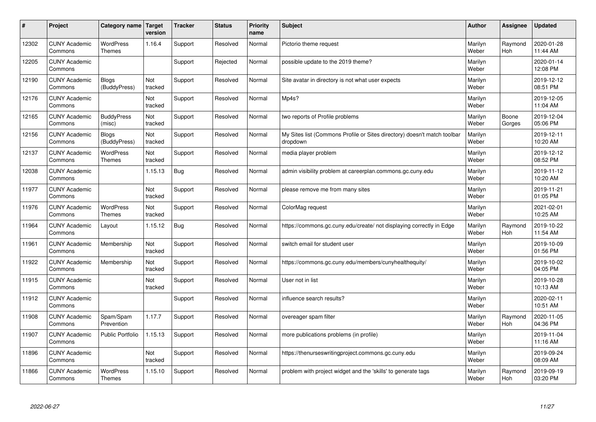| $\pmb{\#}$ | Project                         | Category name                     | <b>Target</b><br>version | <b>Tracker</b> | <b>Status</b> | <b>Priority</b><br>name | <b>Subject</b>                                                                       | <b>Author</b>    | Assignee        | <b>Updated</b>         |
|------------|---------------------------------|-----------------------------------|--------------------------|----------------|---------------|-------------------------|--------------------------------------------------------------------------------------|------------------|-----------------|------------------------|
| 12302      | <b>CUNY Academic</b><br>Commons | <b>WordPress</b><br>Themes        | 1.16.4                   | Support        | Resolved      | Normal                  | Pictorio theme request                                                               | Marilyn<br>Weber | Raymond<br>Hoh  | 2020-01-28<br>11:44 AM |
| 12205      | <b>CUNY Academic</b><br>Commons |                                   |                          | Support        | Rejected      | Normal                  | possible update to the 2019 theme?                                                   | Marilyn<br>Weber |                 | 2020-01-14<br>12:08 PM |
| 12190      | <b>CUNY Academic</b><br>Commons | <b>Blogs</b><br>(BuddyPress)      | Not<br>tracked           | Support        | Resolved      | Normal                  | Site avatar in directory is not what user expects                                    | Marilyn<br>Weber |                 | 2019-12-12<br>08:51 PM |
| 12176      | <b>CUNY Academic</b><br>Commons |                                   | Not<br>tracked           | Support        | Resolved      | Normal                  | Mp4s?                                                                                | Marilyn<br>Weber |                 | 2019-12-05<br>11:04 AM |
| 12165      | <b>CUNY Academic</b><br>Commons | <b>BuddyPress</b><br>(misc)       | Not<br>tracked           | Support        | Resolved      | Normal                  | two reports of Profile problems                                                      | Marilyn<br>Weber | Boone<br>Gorges | 2019-12-04<br>05:06 PM |
| 12156      | <b>CUNY Academic</b><br>Commons | <b>Blogs</b><br>(BuddyPress)      | Not<br>tracked           | Support        | Resolved      | Normal                  | My Sites list (Commons Profile or Sites directory) doesn't match toolbar<br>dropdown | Marilyn<br>Weber |                 | 2019-12-11<br>10:20 AM |
| 12137      | <b>CUNY Academic</b><br>Commons | <b>WordPress</b><br><b>Themes</b> | Not<br>tracked           | Support        | Resolved      | Normal                  | media player problem                                                                 | Marilyn<br>Weber |                 | 2019-12-12<br>08:52 PM |
| 12038      | <b>CUNY Academic</b><br>Commons |                                   | 1.15.13                  | Bug            | Resolved      | Normal                  | admin visibility problem at careerplan.commons.gc.cuny.edu                           | Marilyn<br>Weber |                 | 2019-11-12<br>10:20 AM |
| 11977      | <b>CUNY Academic</b><br>Commons |                                   | Not<br>tracked           | Support        | Resolved      | Normal                  | please remove me from many sites                                                     | Marilyn<br>Weber |                 | 2019-11-21<br>01:05 PM |
| 11976      | <b>CUNY Academic</b><br>Commons | WordPress<br><b>Themes</b>        | Not<br>tracked           | Support        | Resolved      | Normal                  | ColorMag request                                                                     | Marilyn<br>Weber |                 | 2021-02-01<br>10:25 AM |
| 11964      | <b>CUNY Academic</b><br>Commons | Layout                            | 1.15.12                  | Bug            | Resolved      | Normal                  | https://commons.gc.cuny.edu/create/ not displaying correctly in Edge                 | Marilyn<br>Weber | Raymond<br>Hoh  | 2019-10-22<br>11:54 AM |
| 11961      | <b>CUNY Academic</b><br>Commons | Membership                        | Not<br>tracked           | Support        | Resolved      | Normal                  | switch email for student user                                                        | Marilyn<br>Weber |                 | 2019-10-09<br>01:56 PM |
| 11922      | <b>CUNY Academic</b><br>Commons | Membership                        | Not<br>tracked           | Support        | Resolved      | Normal                  | https://commons.gc.cuny.edu/members/cunyhealthequity/                                | Marilyn<br>Weber |                 | 2019-10-02<br>04:05 PM |
| 11915      | <b>CUNY Academic</b><br>Commons |                                   | Not<br>tracked           | Support        | Resolved      | Normal                  | User not in list                                                                     | Marilyn<br>Weber |                 | 2019-10-28<br>10:13 AM |
| 11912      | <b>CUNY Academic</b><br>Commons |                                   |                          | Support        | Resolved      | Normal                  | influence search results?                                                            | Marilyn<br>Weber |                 | 2020-02-11<br>10:51 AM |
| 11908      | <b>CUNY Academic</b><br>Commons | Spam/Spam<br>Prevention           | 1.17.7                   | Support        | Resolved      | Normal                  | overeager spam filter                                                                | Marilyn<br>Weber | Raymond<br>Hoh  | 2020-11-05<br>04:36 PM |
| 11907      | <b>CUNY Academic</b><br>Commons | <b>Public Portfolio</b>           | 1.15.13                  | Support        | Resolved      | Normal                  | more publications problems (in profile)                                              | Marilyn<br>Weber |                 | 2019-11-04<br>11:16 AM |
| 11896      | <b>CUNY Academic</b><br>Commons |                                   | Not<br>tracked           | Support        | Resolved      | Normal                  | https://thenurseswritingproject.commons.gc.cuny.edu                                  | Marilyn<br>Weber |                 | 2019-09-24<br>08:09 AM |
| 11866      | <b>CUNY Academic</b><br>Commons | <b>WordPress</b><br><b>Themes</b> | 1.15.10                  | Support        | Resolved      | Normal                  | problem with project widget and the 'skills' to generate tags                        | Marilyn<br>Weber | Raymond<br>Hoh  | 2019-09-19<br>03:20 PM |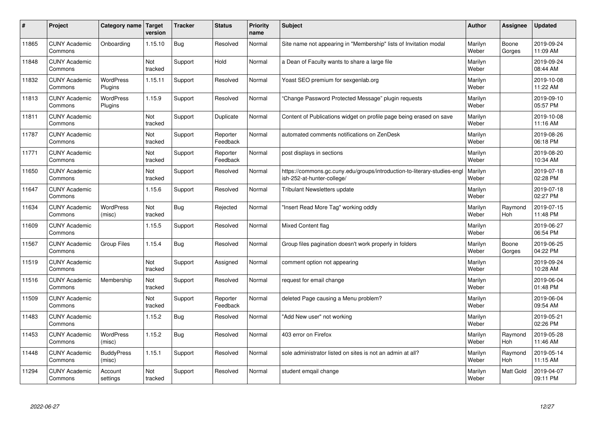| #     | Project                         | Category name               | Target<br>version | <b>Tracker</b> | <b>Status</b>        | <b>Priority</b><br>name | <b>Subject</b>                                                                                         | <b>Author</b>    | Assignee        | <b>Updated</b>         |
|-------|---------------------------------|-----------------------------|-------------------|----------------|----------------------|-------------------------|--------------------------------------------------------------------------------------------------------|------------------|-----------------|------------------------|
| 11865 | <b>CUNY Academic</b><br>Commons | Onboarding                  | 1.15.10           | Bug            | Resolved             | Normal                  | Site name not appearing in "Membership" lists of Invitation modal                                      | Marilyn<br>Weber | Boone<br>Gorges | 2019-09-24<br>11:09 AM |
| 11848 | <b>CUNY Academic</b><br>Commons |                             | Not<br>tracked    | Support        | Hold                 | Normal                  | a Dean of Faculty wants to share a large file                                                          | Marilyn<br>Weber |                 | 2019-09-24<br>08:44 AM |
| 11832 | <b>CUNY Academic</b><br>Commons | <b>WordPress</b><br>Plugins | 1.15.11           | Support        | Resolved             | Normal                  | Yoast SEO premium for sexgenlab.org                                                                    | Marilyn<br>Weber |                 | 2019-10-08<br>11:22 AM |
| 11813 | <b>CUNY Academic</b><br>Commons | <b>WordPress</b><br>Plugins | 1.15.9            | Support        | Resolved             | Normal                  | 'Change Password Protected Message" plugin requests                                                    | Marilyn<br>Weber |                 | 2019-09-10<br>05:57 PM |
| 11811 | <b>CUNY Academic</b><br>Commons |                             | Not<br>tracked    | Support        | Duplicate            | Normal                  | Content of Publications widget on profile page being erased on save                                    | Marilyn<br>Weber |                 | 2019-10-08<br>11:16 AM |
| 11787 | <b>CUNY Academic</b><br>Commons |                             | Not<br>tracked    | Support        | Reporter<br>Feedback | Normal                  | automated comments notifications on ZenDesk                                                            | Marilyn<br>Weber |                 | 2019-08-26<br>06:18 PM |
| 11771 | <b>CUNY Academic</b><br>Commons |                             | Not<br>tracked    | Support        | Reporter<br>Feedback | Normal                  | post displays in sections                                                                              | Marilyn<br>Weber |                 | 2019-08-20<br>10:34 AM |
| 11650 | <b>CUNY Academic</b><br>Commons |                             | Not<br>tracked    | Support        | Resolved             | Normal                  | https://commons.gc.cuny.edu/groups/introduction-to-literary-studies-engl<br>ish-252-at-hunter-college/ | Marilyn<br>Weber |                 | 2019-07-18<br>02:28 PM |
| 11647 | <b>CUNY Academic</b><br>Commons |                             | 1.15.6            | Support        | Resolved             | Normal                  | <b>Tribulant Newsletters update</b>                                                                    | Marilyn<br>Weber |                 | 2019-07-18<br>02:27 PM |
| 11634 | <b>CUNY Academic</b><br>Commons | <b>WordPress</b><br>(misc)  | Not<br>tracked    | <b>Bug</b>     | Rejected             | Normal                  | 'Insert Read More Tag" working oddly                                                                   | Marilyn<br>Weber | Raymond<br>Hoh  | 2019-07-15<br>11:48 PM |
| 11609 | <b>CUNY Academic</b><br>Commons |                             | 1.15.5            | Support        | Resolved             | Normal                  | <b>Mixed Content flag</b>                                                                              | Marilyn<br>Weber |                 | 2019-06-27<br>06:54 PM |
| 11567 | <b>CUNY Academic</b><br>Commons | Group Files                 | 1.15.4            | <b>Bug</b>     | Resolved             | Normal                  | Group files pagination doesn't work properly in folders                                                | Marilyn<br>Weber | Boone<br>Gorges | 2019-06-25<br>04:22 PM |
| 11519 | <b>CUNY Academic</b><br>Commons |                             | Not<br>tracked    | Support        | Assigned             | Normal                  | comment option not appearing                                                                           | Marilyn<br>Weber |                 | 2019-09-24<br>10:28 AM |
| 11516 | <b>CUNY Academic</b><br>Commons | Membership                  | Not<br>tracked    | Support        | Resolved             | Normal                  | request for email change                                                                               | Marilyn<br>Weber |                 | 2019-06-04<br>01:48 PM |
| 11509 | <b>CUNY Academic</b><br>Commons |                             | Not<br>tracked    | Support        | Reporter<br>Feedback | Normal                  | deleted Page causing a Menu problem?                                                                   | Marilyn<br>Weber |                 | 2019-06-04<br>09:54 AM |
| 11483 | <b>CUNY Academic</b><br>Commons |                             | 1.15.2            | <b>Bug</b>     | Resolved             | Normal                  | "Add New user" not working                                                                             | Marilyn<br>Weber |                 | 2019-05-21<br>02:26 PM |
| 11453 | <b>CUNY Academic</b><br>Commons | WordPress<br>(misc)         | 1.15.2            | <b>Bug</b>     | Resolved             | Normal                  | 403 error on Firefox                                                                                   | Marilyn<br>Weber | Raymond<br>Hoh  | 2019-05-28<br>11:46 AM |
| 11448 | <b>CUNY Academic</b><br>Commons | <b>BuddyPress</b><br>(misc) | 1.15.1            | Support        | Resolved             | Normal                  | sole administrator listed on sites is not an admin at all?                                             | Marilyn<br>Weber | Raymond<br>Hoh  | 2019-05-14<br>11:15 AM |
| 11294 | <b>CUNY Academic</b><br>Commons | Account<br>settings         | Not<br>tracked    | Support        | Resolved             | Normal                  | student emgail change                                                                                  | Marilyn<br>Weber | Matt Gold       | 2019-04-07<br>09:11 PM |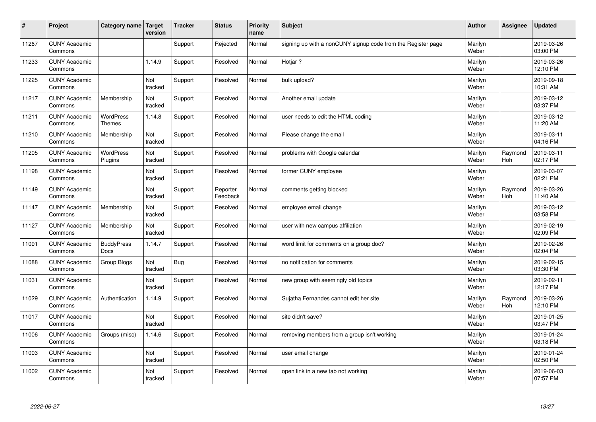| $\sharp$ | Project                         | Category name   Target            | version        | <b>Tracker</b> | <b>Status</b>        | <b>Priority</b><br>name | <b>Subject</b>                                               | <b>Author</b>    | Assignee       | <b>Updated</b>         |
|----------|---------------------------------|-----------------------------------|----------------|----------------|----------------------|-------------------------|--------------------------------------------------------------|------------------|----------------|------------------------|
| 11267    | <b>CUNY Academic</b><br>Commons |                                   |                | Support        | Rejected             | Normal                  | signing up with a nonCUNY signup code from the Register page | Marilyn<br>Weber |                | 2019-03-26<br>03:00 PM |
| 11233    | <b>CUNY Academic</b><br>Commons |                                   | 1.14.9         | Support        | Resolved             | Normal                  | Hotiar?                                                      | Marilyn<br>Weber |                | 2019-03-26<br>12:10 PM |
| 11225    | <b>CUNY Academic</b><br>Commons |                                   | Not<br>tracked | Support        | Resolved             | Normal                  | bulk upload?                                                 | Marilyn<br>Weber |                | 2019-09-18<br>10:31 AM |
| 11217    | <b>CUNY Academic</b><br>Commons | Membership                        | Not<br>tracked | Support        | Resolved             | Normal                  | Another email update                                         | Marilyn<br>Weber |                | 2019-03-12<br>03:37 PM |
| 11211    | <b>CUNY Academic</b><br>Commons | <b>WordPress</b><br><b>Themes</b> | 1.14.8         | Support        | Resolved             | Normal                  | user needs to edit the HTML coding                           | Marilyn<br>Weber |                | 2019-03-12<br>11:20 AM |
| 11210    | <b>CUNY Academic</b><br>Commons | Membership                        | Not<br>tracked | Support        | Resolved             | Normal                  | Please change the email                                      | Marilyn<br>Weber |                | 2019-03-11<br>04:16 PM |
| 11205    | <b>CUNY Academic</b><br>Commons | <b>WordPress</b><br>Plugins       | Not<br>tracked | Support        | Resolved             | Normal                  | problems with Google calendar                                | Marilyn<br>Weber | Raymond<br>Hoh | 2019-03-11<br>02:17 PM |
| 11198    | <b>CUNY Academic</b><br>Commons |                                   | Not<br>tracked | Support        | Resolved             | Normal                  | former CUNY employee                                         | Marilyn<br>Weber |                | 2019-03-07<br>02:21 PM |
| 11149    | <b>CUNY Academic</b><br>Commons |                                   | Not<br>tracked | Support        | Reporter<br>Feedback | Normal                  | comments getting blocked                                     | Marilyn<br>Weber | Raymond<br>Hoh | 2019-03-26<br>11:40 AM |
| 11147    | <b>CUNY Academic</b><br>Commons | Membership                        | Not<br>tracked | Support        | Resolved             | Normal                  | employee email change                                        | Marilyn<br>Weber |                | 2019-03-12<br>03:58 PM |
| 11127    | <b>CUNY Academic</b><br>Commons | Membership                        | Not<br>tracked | Support        | Resolved             | Normal                  | user with new campus affiliation                             | Marilyn<br>Weber |                | 2019-02-19<br>02:09 PM |
| 11091    | <b>CUNY Academic</b><br>Commons | <b>BuddyPress</b><br><b>Docs</b>  | 1.14.7         | Support        | Resolved             | Normal                  | word limit for comments on a group doc?                      | Marilyn<br>Weber |                | 2019-02-26<br>02:04 PM |
| 11088    | <b>CUNY Academic</b><br>Commons | Group Blogs                       | Not<br>tracked | Bug            | Resolved             | Normal                  | no notification for comments                                 | Marilyn<br>Weber |                | 2019-02-15<br>03:30 PM |
| 11031    | <b>CUNY Academic</b><br>Commons |                                   | Not<br>tracked | Support        | Resolved             | Normal                  | new group with seemingly old topics                          | Marilyn<br>Weber |                | 2019-02-11<br>12:17 PM |
| 11029    | <b>CUNY Academic</b><br>Commons | Authentication                    | 1.14.9         | Support        | Resolved             | Normal                  | Sujatha Fernandes cannot edit her site                       | Marilyn<br>Weber | Raymond<br>Hoh | 2019-03-26<br>12:10 PM |
| 11017    | <b>CUNY Academic</b><br>Commons |                                   | Not<br>tracked | Support        | Resolved             | Normal                  | site didn't save?                                            | Marilyn<br>Weber |                | 2019-01-25<br>03:47 PM |
| 11006    | <b>CUNY Academic</b><br>Commons | Groups (misc)                     | 1.14.6         | Support        | Resolved             | Normal                  | removing members from a group isn't working                  | Marilyn<br>Weber |                | 2019-01-24<br>03:18 PM |
| 11003    | <b>CUNY Academic</b><br>Commons |                                   | Not<br>tracked | Support        | Resolved             | Normal                  | user email change                                            | Marilyn<br>Weber |                | 2019-01-24<br>02:50 PM |
| 11002    | <b>CUNY Academic</b><br>Commons |                                   | Not<br>tracked | Support        | Resolved             | Normal                  | open link in a new tab not working                           | Marilyn<br>Weber |                | 2019-06-03<br>07:57 PM |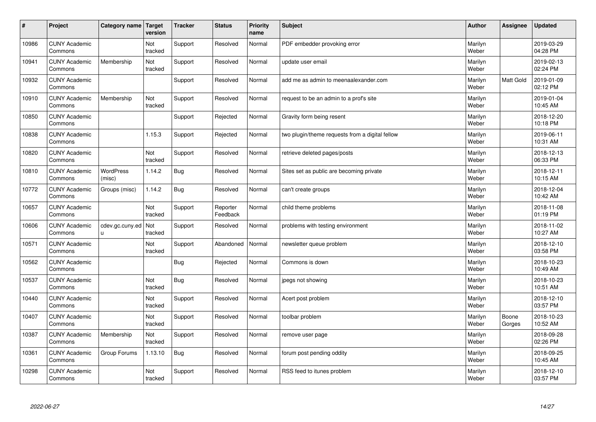| #     | Project                         | Category name   Target | version        | <b>Tracker</b> | <b>Status</b>        | <b>Priority</b><br>name | <b>Subject</b>                                  | <b>Author</b>    | Assignee        | <b>Updated</b>         |
|-------|---------------------------------|------------------------|----------------|----------------|----------------------|-------------------------|-------------------------------------------------|------------------|-----------------|------------------------|
| 10986 | <b>CUNY Academic</b><br>Commons |                        | Not<br>tracked | Support        | Resolved             | Normal                  | PDF embedder provoking error                    | Marilyn<br>Weber |                 | 2019-03-29<br>04:28 PM |
| 10941 | <b>CUNY Academic</b><br>Commons | Membership             | Not<br>tracked | Support        | Resolved             | Normal                  | update user email                               | Marilyn<br>Weber |                 | 2019-02-13<br>02:24 PM |
| 10932 | <b>CUNY Academic</b><br>Commons |                        |                | Support        | Resolved             | Normal                  | add me as admin to meenaalexander.com           | Marilyn<br>Weber | Matt Gold       | 2019-01-09<br>02:12 PM |
| 10910 | <b>CUNY Academic</b><br>Commons | Membership             | Not<br>tracked | Support        | Resolved             | Normal                  | request to be an admin to a prof's site         | Marilyn<br>Weber |                 | 2019-01-04<br>10:45 AM |
| 10850 | <b>CUNY Academic</b><br>Commons |                        |                | Support        | Rejected             | Normal                  | Gravity form being resent                       | Marilyn<br>Weber |                 | 2018-12-20<br>10:18 PM |
| 10838 | <b>CUNY Academic</b><br>Commons |                        | 1.15.3         | Support        | Rejected             | Normal                  | two plugin/theme requests from a digital fellow | Marilyn<br>Weber |                 | 2019-06-11<br>10:31 AM |
| 10820 | <b>CUNY Academic</b><br>Commons |                        | Not<br>tracked | Support        | Resolved             | Normal                  | retrieve deleted pages/posts                    | Marilyn<br>Weber |                 | 2018-12-13<br>06:33 PM |
| 10810 | <b>CUNY Academic</b><br>Commons | WordPress<br>(misc)    | 1.14.2         | <b>Bug</b>     | Resolved             | Normal                  | Sites set as public are becoming private        | Marilyn<br>Weber |                 | 2018-12-11<br>10:15 AM |
| 10772 | <b>CUNY Academic</b><br>Commons | Groups (misc)          | 1.14.2         | <b>Bug</b>     | Resolved             | Normal                  | can't create groups                             | Marilyn<br>Weber |                 | 2018-12-04<br>10:42 AM |
| 10657 | <b>CUNY Academic</b><br>Commons |                        | Not<br>tracked | Support        | Reporter<br>Feedback | Normal                  | child theme problems                            | Marilyn<br>Weber |                 | 2018-11-08<br>01:19 PM |
| 10606 | <b>CUNY Academic</b><br>Commons | cdev.gc.cuny.ed<br>П   | Not<br>tracked | Support        | Resolved             | Normal                  | problems with testing environment               | Marilyn<br>Weber |                 | 2018-11-02<br>10:27 AM |
| 10571 | <b>CUNY Academic</b><br>Commons |                        | Not<br>tracked | Support        | Abandoned            | Normal                  | newsletter queue problem                        | Marilyn<br>Weber |                 | 2018-12-10<br>03:58 PM |
| 10562 | <b>CUNY Academic</b><br>Commons |                        |                | Bug            | Rejected             | Normal                  | Commons is down                                 | Marilyn<br>Weber |                 | 2018-10-23<br>10:49 AM |
| 10537 | <b>CUNY Academic</b><br>Commons |                        | Not<br>tracked | <b>Bug</b>     | Resolved             | Normal                  | jpegs not showing                               | Marilyn<br>Weber |                 | 2018-10-23<br>10:51 AM |
| 10440 | <b>CUNY Academic</b><br>Commons |                        | Not<br>tracked | Support        | Resolved             | Normal                  | Acert post problem                              | Marilyn<br>Weber |                 | 2018-12-10<br>03:57 PM |
| 10407 | <b>CUNY Academic</b><br>Commons |                        | Not<br>tracked | Support        | Resolved             | Normal                  | toolbar problem                                 | Marilyn<br>Weber | Boone<br>Gorges | 2018-10-23<br>10:52 AM |
| 10387 | <b>CUNY Academic</b><br>Commons | Membership             | Not<br>tracked | Support        | Resolved             | Normal                  | remove user page                                | Marilyn<br>Weber |                 | 2018-09-28<br>02:26 PM |
| 10361 | <b>CUNY Academic</b><br>Commons | Group Forums           | 1.13.10        | <b>Bug</b>     | Resolved             | Normal                  | forum post pending oddity                       | Marilyn<br>Weber |                 | 2018-09-25<br>10:45 AM |
| 10298 | <b>CUNY Academic</b><br>Commons |                        | Not<br>tracked | Support        | Resolved             | Normal                  | RSS feed to itunes problem                      | Marilyn<br>Weber |                 | 2018-12-10<br>03:57 PM |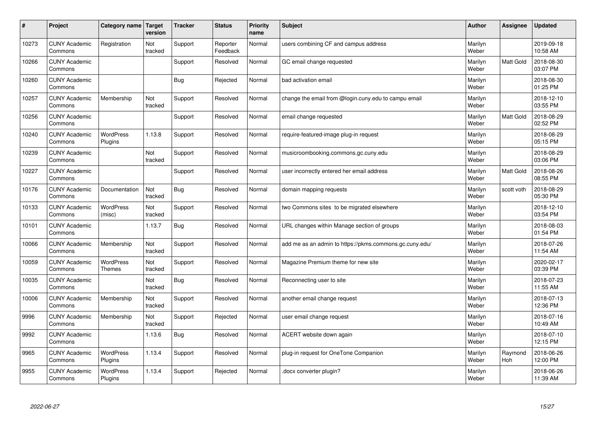| #     | Project                         | Category name   Target            | version        | <b>Tracker</b> | <b>Status</b>        | <b>Priority</b><br>name | <b>Subject</b>                                          | <b>Author</b>    | Assignee         | Updated                |
|-------|---------------------------------|-----------------------------------|----------------|----------------|----------------------|-------------------------|---------------------------------------------------------|------------------|------------------|------------------------|
| 10273 | <b>CUNY Academic</b><br>Commons | Registration                      | Not<br>tracked | Support        | Reporter<br>Feedback | Normal                  | users combining CF and campus address                   | Marilyn<br>Weber |                  | 2019-09-18<br>10:58 AM |
| 10266 | <b>CUNY Academic</b><br>Commons |                                   |                | Support        | Resolved             | Normal                  | GC email change requested                               | Marilyn<br>Weber | <b>Matt Gold</b> | 2018-08-30<br>03:07 PM |
| 10260 | <b>CUNY Academic</b><br>Commons |                                   |                | <b>Bug</b>     | Rejected             | Normal                  | bad activation email                                    | Marilyn<br>Weber |                  | 2018-08-30<br>01:25 PM |
| 10257 | <b>CUNY Academic</b><br>Commons | Membership                        | Not<br>tracked | Support        | Resolved             | Normal                  | change the email from @login.cuny.edu to campu email    | Marilyn<br>Weber |                  | 2018-12-10<br>03:55 PM |
| 10256 | <b>CUNY Academic</b><br>Commons |                                   |                | Support        | Resolved             | Normal                  | email change requested                                  | Marilyn<br>Weber | Matt Gold        | 2018-08-29<br>02:52 PM |
| 10240 | <b>CUNY Academic</b><br>Commons | <b>WordPress</b><br>Plugins       | 1.13.8         | Support        | Resolved             | Normal                  | require-featured-image plug-in request                  | Marilyn<br>Weber |                  | 2018-08-29<br>05:15 PM |
| 10239 | <b>CUNY Academic</b><br>Commons |                                   | Not<br>tracked | Support        | Resolved             | Normal                  | musicroombooking.commons.gc.cuny.edu                    | Marilyn<br>Weber |                  | 2018-08-29<br>03:06 PM |
| 10227 | <b>CUNY Academic</b><br>Commons |                                   |                | Support        | Resolved             | Normal                  | user incorrectly entered her email address              | Marilyn<br>Weber | Matt Gold        | 2018-08-26<br>08:55 PM |
| 10176 | <b>CUNY Academic</b><br>Commons | Documentation                     | Not<br>tracked | Bug            | Resolved             | Normal                  | domain mapping requests                                 | Marilyn<br>Weber | scott voth       | 2018-08-29<br>05:30 PM |
| 10133 | <b>CUNY Academic</b><br>Commons | WordPress<br>(misc)               | Not<br>tracked | Support        | Resolved             | Normal                  | two Commons sites to be migrated elsewhere              | Marilyn<br>Weber |                  | 2018-12-10<br>03:54 PM |
| 10101 | <b>CUNY Academic</b><br>Commons |                                   | 1.13.7         | <b>Bug</b>     | Resolved             | Normal                  | URL changes within Manage section of groups             | Marilyn<br>Weber |                  | 2018-08-03<br>01:54 PM |
| 10066 | <b>CUNY Academic</b><br>Commons | Membership                        | Not<br>tracked | Support        | Resolved             | Normal                  | add me as an admin to https://pkms.commons.gc.cuny.edu/ | Marilyn<br>Weber |                  | 2018-07-26<br>11:54 AM |
| 10059 | <b>CUNY Academic</b><br>Commons | <b>WordPress</b><br><b>Themes</b> | Not<br>tracked | Support        | Resolved             | Normal                  | Magazine Premium theme for new site                     | Marilyn<br>Weber |                  | 2020-02-17<br>03:39 PM |
| 10035 | <b>CUNY Academic</b><br>Commons |                                   | Not<br>tracked | Bug            | Resolved             | Normal                  | Reconnecting user to site                               | Marilyn<br>Weber |                  | 2018-07-23<br>11:55 AM |
| 10006 | <b>CUNY Academic</b><br>Commons | Membership                        | Not<br>tracked | Support        | Resolved             | Normal                  | another email change request                            | Marilyn<br>Weber |                  | 2018-07-13<br>12:36 PM |
| 9996  | <b>CUNY Academic</b><br>Commons | Membership                        | Not<br>tracked | Support        | Rejected             | Normal                  | user email change request                               | Marilyn<br>Weber |                  | 2018-07-16<br>10:49 AM |
| 9992  | <b>CUNY Academic</b><br>Commons |                                   | 1.13.6         | Bug            | Resolved             | Normal                  | ACERT website down again                                | Marilyn<br>Weber |                  | 2018-07-10<br>12:15 PM |
| 9965  | <b>CUNY Academic</b><br>Commons | <b>WordPress</b><br>Plugins       | 1.13.4         | Support        | Resolved             | Normal                  | plug-in request for OneTone Companion                   | Marilyn<br>Weber | Raymond<br>Hoh   | 2018-06-26<br>12:00 PM |
| 9955  | <b>CUNY Academic</b><br>Commons | <b>WordPress</b><br>Plugins       | 1.13.4         | Support        | Rejected             | Normal                  | docx converter plugin?                                  | Marilyn<br>Weber |                  | 2018-06-26<br>11:39 AM |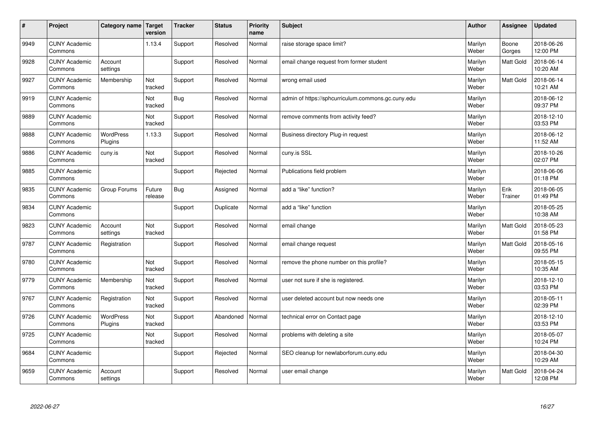| $\sharp$ | Project                         | Category name   Target      | version           | <b>Tracker</b> | <b>Status</b> | <b>Priority</b><br>name | <b>Subject</b>                                     | <b>Author</b>    | Assignee         | <b>Updated</b>         |
|----------|---------------------------------|-----------------------------|-------------------|----------------|---------------|-------------------------|----------------------------------------------------|------------------|------------------|------------------------|
| 9949     | <b>CUNY Academic</b><br>Commons |                             | 1.13.4            | Support        | Resolved      | Normal                  | raise storage space limit?                         | Marilyn<br>Weber | Boone<br>Gorges  | 2018-06-26<br>12:00 PM |
| 9928     | <b>CUNY Academic</b><br>Commons | Account<br>settings         |                   | Support        | Resolved      | Normal                  | email change request from former student           | Marilyn<br>Weber | <b>Matt Gold</b> | 2018-06-14<br>10:20 AM |
| 9927     | <b>CUNY Academic</b><br>Commons | Membership                  | Not<br>tracked    | Support        | Resolved      | Normal                  | wrong email used                                   | Marilyn<br>Weber | Matt Gold        | 2018-06-14<br>10:21 AM |
| 9919     | <b>CUNY Academic</b><br>Commons |                             | Not<br>tracked    | Bug            | Resolved      | Normal                  | admin of https://sphcurriculum.commons.gc.cuny.edu | Marilyn<br>Weber |                  | 2018-06-12<br>09:37 PM |
| 9889     | <b>CUNY Academic</b><br>Commons |                             | Not<br>tracked    | Support        | Resolved      | Normal                  | remove comments from activity feed?                | Marilyn<br>Weber |                  | 2018-12-10<br>03:53 PM |
| 9888     | <b>CUNY Academic</b><br>Commons | <b>WordPress</b><br>Plugins | 1.13.3            | Support        | Resolved      | Normal                  | Business directory Plug-in request                 | Marilyn<br>Weber |                  | 2018-06-12<br>11:52 AM |
| 9886     | <b>CUNY Academic</b><br>Commons | cuny.is                     | Not<br>tracked    | Support        | Resolved      | Normal                  | cuny.is SSL                                        | Marilyn<br>Weber |                  | 2018-10-26<br>02:07 PM |
| 9885     | <b>CUNY Academic</b><br>Commons |                             |                   | Support        | Rejected      | Normal                  | Publications field problem                         | Marilyn<br>Weber |                  | 2018-06-06<br>01:18 PM |
| 9835     | <b>CUNY Academic</b><br>Commons | Group Forums                | Future<br>release | <b>Bug</b>     | Assigned      | Normal                  | add a "like" function?                             | Marilyn<br>Weber | Erik<br>Trainer  | 2018-06-05<br>01:49 PM |
| 9834     | <b>CUNY Academic</b><br>Commons |                             |                   | Support        | Duplicate     | Normal                  | add a "like" function                              | Marilyn<br>Weber |                  | 2018-05-25<br>10:38 AM |
| 9823     | <b>CUNY Academic</b><br>Commons | Account<br>settings         | Not<br>tracked    | Support        | Resolved      | Normal                  | email change                                       | Marilyn<br>Weber | Matt Gold        | 2018-05-23<br>01:58 PM |
| 9787     | <b>CUNY Academic</b><br>Commons | Registration                |                   | Support        | Resolved      | Normal                  | email change request                               | Marilyn<br>Weber | Matt Gold        | 2018-05-16<br>09:55 PM |
| 9780     | <b>CUNY Academic</b><br>Commons |                             | Not<br>tracked    | Support        | Resolved      | Normal                  | remove the phone number on this profile?           | Marilyn<br>Weber |                  | 2018-05-15<br>10:35 AM |
| 9779     | <b>CUNY Academic</b><br>Commons | Membership                  | Not<br>tracked    | Support        | Resolved      | Normal                  | user not sure if she is registered.                | Marilyn<br>Weber |                  | 2018-12-10<br>03:53 PM |
| 9767     | <b>CUNY Academic</b><br>Commons | Registration                | Not<br>tracked    | Support        | Resolved      | Normal                  | user deleted account but now needs one             | Marilyn<br>Weber |                  | 2018-05-11<br>02:39 PM |
| 9726     | <b>CUNY Academic</b><br>Commons | WordPress<br>Plugins        | Not<br>tracked    | Support        | Abandoned     | Normal                  | technical error on Contact page                    | Marilyn<br>Weber |                  | 2018-12-10<br>03:53 PM |
| 9725     | <b>CUNY Academic</b><br>Commons |                             | Not<br>tracked    | Support        | Resolved      | Normal                  | problems with deleting a site                      | Marilyn<br>Weber |                  | 2018-05-07<br>10:24 PM |
| 9684     | <b>CUNY Academic</b><br>Commons |                             |                   | Support        | Rejected      | Normal                  | SEO cleanup for newlaborforum.cuny.edu             | Marilyn<br>Weber |                  | 2018-04-30<br>10:29 AM |
| 9659     | <b>CUNY Academic</b><br>Commons | Account<br>settings         |                   | Support        | Resolved      | Normal                  | user email change                                  | Marilyn<br>Weber | <b>Matt Gold</b> | 2018-04-24<br>12:08 PM |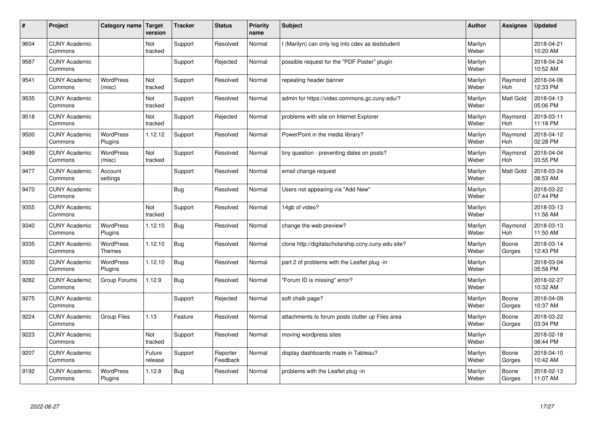| $\sharp$ | Project                         | Category name                     | Target<br>version | <b>Tracker</b> | <b>Status</b>        | <b>Priority</b><br>name | <b>Subject</b>                                      | <b>Author</b>    | Assignee        | Updated                |
|----------|---------------------------------|-----------------------------------|-------------------|----------------|----------------------|-------------------------|-----------------------------------------------------|------------------|-----------------|------------------------|
| 9604     | <b>CUNY Academic</b><br>Commons |                                   | Not<br>tracked    | Support        | Resolved             | Normal                  | I (Marilyn) can only log into cdev as teststudent   | Marilyn<br>Weber |                 | 2018-04-21<br>10:20 AM |
| 9587     | <b>CUNY Academic</b><br>Commons |                                   |                   | Support        | Rejected             | Normal                  | possible request for the "PDF Poster" plugin        | Marilyn<br>Weber |                 | 2018-04-24<br>10:52 AM |
| 9541     | <b>CUNY Academic</b><br>Commons | <b>WordPress</b><br>(misc)        | Not<br>tracked    | Support        | Resolved             | Normal                  | repeating header banner                             | Marilyn<br>Weber | Raymond<br>Hoh  | 2018-04-06<br>12:33 PM |
| 9535     | <b>CUNY Academic</b><br>Commons |                                   | Not<br>tracked    | Support        | Resolved             | Normal                  | admin for https://video.commons.gc.cuny.edu/?       | Marilyn<br>Weber | Matt Gold       | 2018-04-13<br>05:06 PM |
| 9518     | <b>CUNY Academic</b><br>Commons |                                   | Not<br>tracked    | Support        | Rejected             | Normal                  | problems with site on Internet Explorer             | Marilyn<br>Weber | Raymond<br>Hoh  | 2019-03-11<br>11:18 PM |
| 9500     | <b>CUNY Academic</b><br>Commons | <b>WordPress</b><br>Plugins       | 1.12.12           | Support        | Resolved             | Normal                  | PowerPoint in the media library?                    | Marilyn<br>Weber | Raymond<br>Hoh  | 2018-04-12<br>02:28 PM |
| 9499     | <b>CUNY Academic</b><br>Commons | <b>WordPress</b><br>(misc)        | Not<br>tracked    | Support        | Resolved             | Normal                  | tiny question - preventing dates on posts?          | Marilyn<br>Weber | Raymond<br>Hoh  | 2018-04-04<br>03:55 PM |
| 9477     | <b>CUNY Academic</b><br>Commons | Account<br>settings               |                   | Support        | Resolved             | Normal                  | email change request                                | Marilyn<br>Weber | Matt Gold       | 2018-03-24<br>08:53 AM |
| 9470     | <b>CUNY Academic</b><br>Commons |                                   |                   | Bug            | Resolved             | Normal                  | Users not appearing via "Add New"                   | Marilyn<br>Weber |                 | 2018-03-22<br>07:44 PM |
| 9355     | <b>CUNY Academic</b><br>Commons |                                   | Not<br>tracked    | Support        | Resolved             | Normal                  | 14gb of video?                                      | Marilyn<br>Weber |                 | 2018-03-13<br>11:56 AM |
| 9340     | <b>CUNY Academic</b><br>Commons | <b>WordPress</b><br>Plugins       | 1.12.10           | <b>Bug</b>     | Resolved             | Normal                  | change the web preview?                             | Marilyn<br>Weber | Raymond<br>Hoh  | 2018-03-13<br>11:50 AM |
| 9335     | <b>CUNY Academic</b><br>Commons | <b>WordPress</b><br><b>Themes</b> | 1.12.10           | <b>Bug</b>     | Resolved             | Normal                  | clone http://digitalscholarship.ccny.cuny.edu site? | Marilyn<br>Weber | Boone<br>Gorges | 2018-03-14<br>12:43 PM |
| 9330     | <b>CUNY Academic</b><br>Commons | <b>WordPress</b><br>Plugins       | 1.12.10           | Bug            | Resolved             | Normal                  | part 2 of problems with the Leaflet plug -in        | Marilyn<br>Weber |                 | 2018-03-04<br>05:58 PM |
| 9282     | <b>CUNY Academic</b><br>Commons | Group Forums                      | 1.12.9            | Bug            | Resolved             | Normal                  | 'Forum ID is missing" error?                        | Marilyn<br>Weber |                 | 2018-02-27<br>10:32 AM |
| 9275     | <b>CUNY Academic</b><br>Commons |                                   |                   | Support        | Rejected             | Normal                  | soft chalk page?                                    | Marilyn<br>Weber | Boone<br>Gorges | 2018-04-09<br>10:37 AM |
| 9224     | <b>CUNY Academic</b><br>Commons | <b>Group Files</b>                | 1.13              | Feature        | Resolved             | Normal                  | attachments to forum posts clutter up Files area    | Marilyn<br>Weber | Boone<br>Gorges | 2018-03-22<br>03:34 PM |
| 9223     | <b>CUNY Academic</b><br>Commons |                                   | Not<br>tracked    | Support        | Resolved             | Normal                  | moving wordpress sites                              | Marilyn<br>Weber |                 | 2018-02-18<br>08:44 PM |
| 9207     | <b>CUNY Academic</b><br>Commons |                                   | Future<br>release | Support        | Reporter<br>Feedback | Normal                  | display dashboards made in Tableau?                 | Marilyn<br>Weber | Boone<br>Gorges | 2018-04-10<br>10:42 AM |
| 9192     | <b>CUNY Academic</b><br>Commons | <b>WordPress</b><br>Plugins       | 1.12.8            | <b>Bug</b>     | Resolved             | Normal                  | problems with the Leaflet plug -in                  | Marilyn<br>Weber | Boone<br>Gorges | 2018-02-13<br>11:07 AM |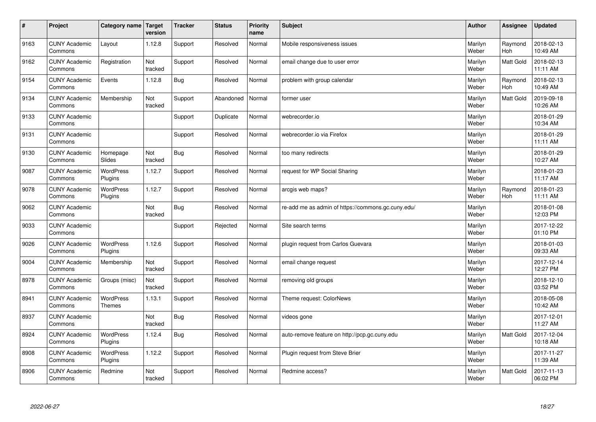| $\sharp$ | Project                         | Category name   Target            | version        | <b>Tracker</b> | <b>Status</b> | <b>Priority</b><br>name | <b>Subject</b>                                     | <b>Author</b>    | Assignee              | <b>Updated</b>         |
|----------|---------------------------------|-----------------------------------|----------------|----------------|---------------|-------------------------|----------------------------------------------------|------------------|-----------------------|------------------------|
| 9163     | <b>CUNY Academic</b><br>Commons | Layout                            | 1.12.8         | Support        | Resolved      | Normal                  | Mobile responsiveness issues                       | Marilyn<br>Weber | Raymond<br><b>Hoh</b> | 2018-02-13<br>10:49 AM |
| 9162     | <b>CUNY Academic</b><br>Commons | Registration                      | Not<br>tracked | Support        | Resolved      | Normal                  | email change due to user error                     | Marilyn<br>Weber | Matt Gold             | 2018-02-13<br>11:11 AM |
| 9154     | <b>CUNY Academic</b><br>Commons | Events                            | 1.12.8         | Bug            | Resolved      | Normal                  | problem with group calendar                        | Marilyn<br>Weber | Raymond<br>Hoh        | 2018-02-13<br>10:49 AM |
| 9134     | <b>CUNY Academic</b><br>Commons | Membership                        | Not<br>tracked | Support        | Abandoned     | Normal                  | former user                                        | Marilyn<br>Weber | <b>Matt Gold</b>      | 2019-09-18<br>10:26 AM |
| 9133     | <b>CUNY Academic</b><br>Commons |                                   |                | Support        | Duplicate     | Normal                  | webrecorder.io                                     | Marilyn<br>Weber |                       | 2018-01-29<br>10:34 AM |
| 9131     | <b>CUNY Academic</b><br>Commons |                                   |                | Support        | Resolved      | Normal                  | webrecorder.io via Firefox                         | Marilyn<br>Weber |                       | 2018-01-29<br>11:11 AM |
| 9130     | <b>CUNY Academic</b><br>Commons | Homepage<br>Slides                | Not<br>tracked | <b>Bug</b>     | Resolved      | Normal                  | too many redirects                                 | Marilyn<br>Weber |                       | 2018-01-29<br>10:27 AM |
| 9087     | <b>CUNY Academic</b><br>Commons | WordPress<br>Plugins              | 1.12.7         | Support        | Resolved      | Normal                  | request for WP Social Sharing                      | Marilyn<br>Weber |                       | 2018-01-23<br>11:17 AM |
| 9078     | <b>CUNY Academic</b><br>Commons | <b>WordPress</b><br>Plugins       | 1.12.7         | Support        | Resolved      | Normal                  | arcgis web maps?                                   | Marilyn<br>Weber | Raymond<br><b>Hoh</b> | 2018-01-23<br>11:11 AM |
| 9062     | <b>CUNY Academic</b><br>Commons |                                   | Not<br>tracked | Bug            | Resolved      | Normal                  | re-add me as admin of https://commons.gc.cuny.edu/ | Marilyn<br>Weber |                       | 2018-01-08<br>12:03 PM |
| 9033     | <b>CUNY Academic</b><br>Commons |                                   |                | Support        | Rejected      | Normal                  | Site search terms                                  | Marilyn<br>Weber |                       | 2017-12-22<br>01:10 PM |
| 9026     | <b>CUNY Academic</b><br>Commons | <b>WordPress</b><br>Plugins       | 1.12.6         | Support        | Resolved      | Normal                  | plugin request from Carlos Guevara                 | Marilyn<br>Weber |                       | 2018-01-03<br>09:33 AM |
| 9004     | <b>CUNY Academic</b><br>Commons | Membership                        | Not<br>tracked | Support        | Resolved      | Normal                  | email change request                               | Marilyn<br>Weber |                       | 2017-12-14<br>12:27 PM |
| 8978     | <b>CUNY Academic</b><br>Commons | Groups (misc)                     | Not<br>tracked | Support        | Resolved      | Normal                  | removing old groups                                | Marilyn<br>Weber |                       | 2018-12-10<br>03:52 PM |
| 8941     | <b>CUNY Academic</b><br>Commons | <b>WordPress</b><br><b>Themes</b> | 1.13.1         | Support        | Resolved      | Normal                  | Theme request: ColorNews                           | Marilyn<br>Weber |                       | 2018-05-08<br>10:42 AM |
| 8937     | <b>CUNY Academic</b><br>Commons |                                   | Not<br>tracked | <b>Bug</b>     | Resolved      | Normal                  | videos gone                                        | Marilyn<br>Weber |                       | 2017-12-01<br>11:27 AM |
| 8924     | <b>CUNY Academic</b><br>Commons | WordPress<br>Plugins              | 1.12.4         | Bug            | Resolved      | Normal                  | auto-remove feature on http://pcp.gc.cuny.edu      | Marilyn<br>Weber | Matt Gold             | 2017-12-04<br>10:18 AM |
| 8908     | <b>CUNY Academic</b><br>Commons | <b>WordPress</b><br>Plugins       | 1.12.2         | Support        | Resolved      | Normal                  | Plugin request from Steve Brier                    | Marilyn<br>Weber |                       | 2017-11-27<br>11:39 AM |
| 8906     | <b>CUNY Academic</b><br>Commons | Redmine                           | Not<br>tracked | Support        | Resolved      | Normal                  | Redmine access?                                    | Marilyn<br>Weber | <b>Matt Gold</b>      | 2017-11-13<br>06:02 PM |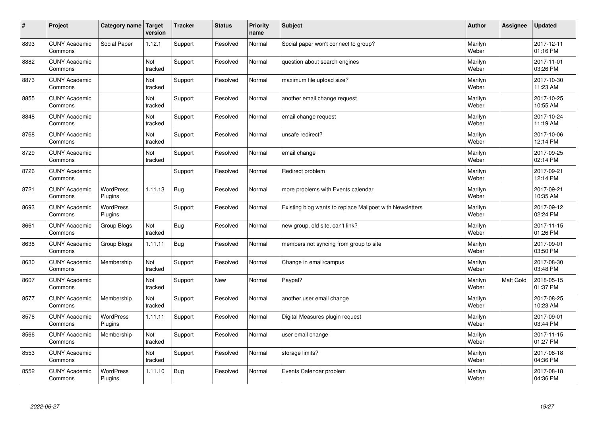| $\sharp$ | Project                         | Category name   Target      | version        | <b>Tracker</b> | <b>Status</b> | <b>Priority</b><br>name | <b>Subject</b>                                           | <b>Author</b>    | Assignee  | <b>Updated</b>         |
|----------|---------------------------------|-----------------------------|----------------|----------------|---------------|-------------------------|----------------------------------------------------------|------------------|-----------|------------------------|
| 8893     | <b>CUNY Academic</b><br>Commons | Social Paper                | 1.12.1         | Support        | Resolved      | Normal                  | Social paper won't connect to group?                     | Marilyn<br>Weber |           | 2017-12-11<br>01:16 PM |
| 8882     | <b>CUNY Academic</b><br>Commons |                             | Not<br>tracked | Support        | Resolved      | Normal                  | question about search engines                            | Marilyn<br>Weber |           | 2017-11-01<br>03:26 PM |
| 8873     | <b>CUNY Academic</b><br>Commons |                             | Not<br>tracked | Support        | Resolved      | Normal                  | maximum file upload size?                                | Marilyn<br>Weber |           | 2017-10-30<br>11:23 AM |
| 8855     | <b>CUNY Academic</b><br>Commons |                             | Not<br>tracked | Support        | Resolved      | Normal                  | another email change request                             | Marilyn<br>Weber |           | 2017-10-25<br>10:55 AM |
| 8848     | <b>CUNY Academic</b><br>Commons |                             | Not<br>tracked | Support        | Resolved      | Normal                  | email change request                                     | Marilyn<br>Weber |           | 2017-10-24<br>11:19 AM |
| 8768     | <b>CUNY Academic</b><br>Commons |                             | Not<br>tracked | Support        | Resolved      | Normal                  | unsafe redirect?                                         | Marilyn<br>Weber |           | 2017-10-06<br>12:14 PM |
| 8729     | <b>CUNY Academic</b><br>Commons |                             | Not<br>tracked | Support        | Resolved      | Normal                  | email change                                             | Marilyn<br>Weber |           | 2017-09-25<br>02:14 PM |
| 8726     | <b>CUNY Academic</b><br>Commons |                             |                | Support        | Resolved      | Normal                  | Redirect problem                                         | Marilyn<br>Weber |           | 2017-09-21<br>12:14 PM |
| 8721     | <b>CUNY Academic</b><br>Commons | <b>WordPress</b><br>Plugins | 1.11.13        | <b>Bug</b>     | Resolved      | Normal                  | more problems with Events calendar                       | Marilyn<br>Weber |           | 2017-09-21<br>10:35 AM |
| 8693     | <b>CUNY Academic</b><br>Commons | WordPress<br>Plugins        |                | Support        | Resolved      | Normal                  | Existing blog wants to replace Mailpoet with Newsletters | Marilyn<br>Weber |           | 2017-09-12<br>02:24 PM |
| 8661     | <b>CUNY Academic</b><br>Commons | Group Blogs                 | Not<br>tracked | <b>Bug</b>     | Resolved      | Normal                  | new group, old site, can't link?                         | Marilyn<br>Weber |           | 2017-11-15<br>01:26 PM |
| 8638     | <b>CUNY Academic</b><br>Commons | Group Blogs                 | 1.11.11        | Bug            | Resolved      | Normal                  | members not syncing from group to site                   | Marilyn<br>Weber |           | 2017-09-01<br>03:50 PM |
| 8630     | <b>CUNY Academic</b><br>Commons | Membership                  | Not<br>tracked | Support        | Resolved      | Normal                  | Change in email/campus                                   | Marilyn<br>Weber |           | 2017-08-30<br>03:48 PM |
| 8607     | <b>CUNY Academic</b><br>Commons |                             | Not<br>tracked | Support        | New           | Normal                  | Paypal?                                                  | Marilyn<br>Weber | Matt Gold | 2018-05-15<br>01:37 PM |
| 8577     | <b>CUNY Academic</b><br>Commons | Membership                  | Not<br>tracked | Support        | Resolved      | Normal                  | another user email change                                | Marilyn<br>Weber |           | 2017-08-25<br>10:23 AM |
| 8576     | <b>CUNY Academic</b><br>Commons | <b>WordPress</b><br>Plugins | 1.11.11        | Support        | Resolved      | Normal                  | Digital Measures plugin request                          | Marilyn<br>Weber |           | 2017-09-01<br>03:44 PM |
| 8566     | <b>CUNY Academic</b><br>Commons | Membership                  | Not<br>tracked | Support        | Resolved      | Normal                  | user email change                                        | Marilyn<br>Weber |           | 2017-11-15<br>01:27 PM |
| 8553     | <b>CUNY Academic</b><br>Commons |                             | Not<br>tracked | Support        | Resolved      | Normal                  | storage limits?                                          | Marilyn<br>Weber |           | 2017-08-18<br>04:36 PM |
| 8552     | <b>CUNY Academic</b><br>Commons | <b>WordPress</b><br>Plugins | 1.11.10        | <b>Bug</b>     | Resolved      | Normal                  | Events Calendar problem                                  | Marilyn<br>Weber |           | 2017-08-18<br>04:36 PM |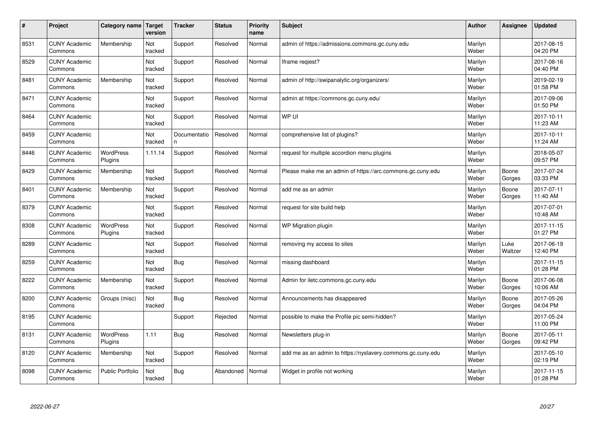| #    | Project                         | Category name               | <b>Target</b><br>version | <b>Tracker</b>     | <b>Status</b> | Priority<br>name | <b>Subject</b>                                              | <b>Author</b>    | <b>Assignee</b> | <b>Updated</b>         |
|------|---------------------------------|-----------------------------|--------------------------|--------------------|---------------|------------------|-------------------------------------------------------------|------------------|-----------------|------------------------|
| 8531 | <b>CUNY Academic</b><br>Commons | Membership                  | Not<br>tracked           | Support            | Resolved      | Normal           | admin of https://admissions.commons.gc.cuny.edu             | Marilyn<br>Weber |                 | 2017-08-15<br>04:20 PM |
| 8529 | <b>CUNY Academic</b><br>Commons |                             | Not<br>tracked           | Support            | Resolved      | Normal           | Iframe regiest?                                             | Marilyn<br>Weber |                 | 2017-08-16<br>04:40 PM |
| 8481 | <b>CUNY Academic</b><br>Commons | Membership                  | Not<br>tracked           | Support            | Resolved      | Normal           | admin of http://swipanalytic.org/organizers/                | Marilyn<br>Weber |                 | 2019-02-19<br>01:58 PM |
| 8471 | <b>CUNY Academic</b><br>Commons |                             | Not<br>tracked           | Support            | Resolved      | Normal           | admin at https://commons.gc.cuny.edu/                       | Marilyn<br>Weber |                 | 2017-09-06<br>01:50 PM |
| 8464 | <b>CUNY Academic</b><br>Commons |                             | Not<br>tracked           | Support            | Resolved      | Normal           | WP UI                                                       | Marilyn<br>Weber |                 | 2017-10-11<br>11:23 AM |
| 8459 | <b>CUNY Academic</b><br>Commons |                             | Not<br>tracked           | Documentatio<br>n. | Resolved      | Normal           | comprehensive list of plugins?                              | Marilyn<br>Weber |                 | 2017-10-11<br>11:24 AM |
| 8446 | <b>CUNY Academic</b><br>Commons | <b>WordPress</b><br>Plugins | 1.11.14                  | Support            | Resolved      | Normal           | request for multiple accordion menu plugins                 | Marilyn<br>Weber |                 | 2018-05-07<br>09:57 PM |
| 8429 | <b>CUNY Academic</b><br>Commons | Membership                  | Not<br>tracked           | Support            | Resolved      | Normal           | Please make me an admin of https://arc.commons.gc.cuny.edu  | Marilyn<br>Weber | Boone<br>Gorges | 2017-07-24<br>03:33 PM |
| 8401 | <b>CUNY Academic</b><br>Commons | Membership                  | Not<br>tracked           | Support            | Resolved      | Normal           | add me as an admin                                          | Marilyn<br>Weber | Boone<br>Gorges | 2017-07-11<br>11:40 AM |
| 8379 | <b>CUNY Academic</b><br>Commons |                             | Not<br>tracked           | Support            | Resolved      | Normal           | request for site build help                                 | Marilyn<br>Weber |                 | 2017-07-01<br>10:48 AM |
| 8308 | <b>CUNY Academic</b><br>Commons | <b>WordPress</b><br>Plugins | Not<br>tracked           | Support            | Resolved      | Normal           | WP Migration plugin                                         | Marilyn<br>Weber |                 | 2017-11-15<br>01:27 PM |
| 8289 | <b>CUNY Academic</b><br>Commons |                             | Not<br>tracked           | Support            | Resolved      | Normal           | removing my access to sites                                 | Marilyn<br>Weber | Luke<br>Waltzer | 2017-06-19<br>12:40 PM |
| 8259 | <b>CUNY Academic</b><br>Commons |                             | Not<br>tracked           | <b>Bug</b>         | Resolved      | Normal           | missing dashboard                                           | Marilyn<br>Weber |                 | 2017-11-15<br>01:28 PM |
| 8222 | <b>CUNY Academic</b><br>Commons | Membership                  | Not<br>tracked           | Support            | Resolved      | Normal           | Admin for iletc.commons.gc.cuny.edu                         | Marilyn<br>Weber | Boone<br>Gorges | 2017-06-08<br>10:06 AM |
| 8200 | <b>CUNY Academic</b><br>Commons | Groups (misc)               | Not<br>tracked           | <b>Bug</b>         | Resolved      | Normal           | Announcements has disappeared                               | Marilyn<br>Weber | Boone<br>Gorges | 2017-05-26<br>04:04 PM |
| 8195 | <b>CUNY Academic</b><br>Commons |                             |                          | Support            | Rejected      | Normal           | possible to make the Profile pic semi-hidden?               | Marilyn<br>Weber |                 | 2017-05-24<br>11:00 PM |
| 8131 | <b>CUNY Academic</b><br>Commons | WordPress<br>Plugins        | 1.11                     | <b>Bug</b>         | Resolved      | Normal           | Newsletters plug-in                                         | Marilyn<br>Weber | Boone<br>Gorges | 2017-05-11<br>09:42 PM |
| 8120 | <b>CUNY Academic</b><br>Commons | Membership                  | Not<br>tracked           | Support            | Resolved      | Normal           | add me as an admin to https://nyslavery.commons.gc.cuny.edu | Marilyn<br>Weber |                 | 2017-05-10<br>02:19 PM |
| 8098 | <b>CUNY Academic</b><br>Commons | <b>Public Portfolio</b>     | Not<br>tracked           | Bug                | Abandoned     | Normal           | Widget in profile not working                               | Marilyn<br>Weber |                 | 2017-11-15<br>01:28 PM |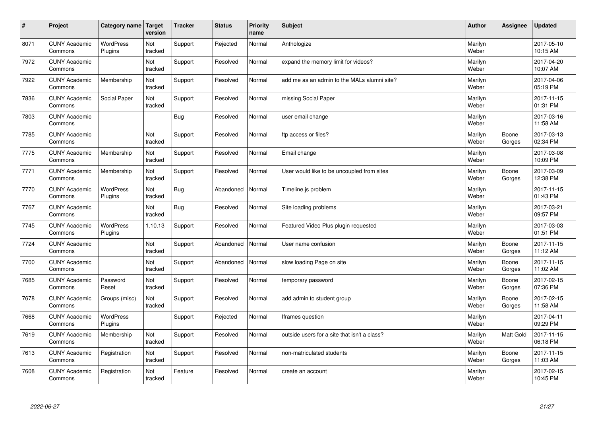| #    | Project                         | Category name Target        | version        | <b>Tracker</b> | <b>Status</b> | <b>Priority</b><br>name | <b>Subject</b>                               | <b>Author</b>    | Assignee         | Updated                |
|------|---------------------------------|-----------------------------|----------------|----------------|---------------|-------------------------|----------------------------------------------|------------------|------------------|------------------------|
| 8071 | <b>CUNY Academic</b><br>Commons | <b>WordPress</b><br>Plugins | Not<br>tracked | Support        | Rejected      | Normal                  | Anthologize                                  | Marilyn<br>Weber |                  | 2017-05-10<br>10:15 AM |
| 7972 | <b>CUNY Academic</b><br>Commons |                             | Not<br>tracked | Support        | Resolved      | Normal                  | expand the memory limit for videos?          | Marilyn<br>Weber |                  | 2017-04-20<br>10:07 AM |
| 7922 | <b>CUNY Academic</b><br>Commons | Membership                  | Not<br>tracked | Support        | Resolved      | Normal                  | add me as an admin to the MALs alumni site?  | Marilyn<br>Weber |                  | 2017-04-06<br>05:19 PM |
| 7836 | <b>CUNY Academic</b><br>Commons | Social Paper                | Not<br>tracked | Support        | Resolved      | Normal                  | missing Social Paper                         | Marilyn<br>Weber |                  | 2017-11-15<br>01:31 PM |
| 7803 | <b>CUNY Academic</b><br>Commons |                             |                | Bug            | Resolved      | Normal                  | user email change                            | Marilyn<br>Weber |                  | 2017-03-16<br>11:58 AM |
| 7785 | <b>CUNY Academic</b><br>Commons |                             | Not<br>tracked | Support        | Resolved      | Normal                  | ftp access or files?                         | Marilyn<br>Weber | Boone<br>Gorges  | 2017-03-13<br>02:34 PM |
| 7775 | <b>CUNY Academic</b><br>Commons | Membership                  | Not<br>tracked | Support        | Resolved      | Normal                  | Email change                                 | Marilyn<br>Weber |                  | 2017-03-08<br>10:09 PM |
| 7771 | <b>CUNY Academic</b><br>Commons | Membership                  | Not<br>tracked | Support        | Resolved      | Normal                  | User would like to be uncoupled from sites   | Marilyn<br>Weber | Boone<br>Gorges  | 2017-03-09<br>12:38 PM |
| 7770 | <b>CUNY Academic</b><br>Commons | <b>WordPress</b><br>Plugins | Not<br>tracked | Bug            | Abandoned     | Normal                  | Timeline.js problem                          | Marilyn<br>Weber |                  | 2017-11-15<br>01:43 PM |
| 7767 | <b>CUNY Academic</b><br>Commons |                             | Not<br>tracked | Bug            | Resolved      | Normal                  | Site loading problems                        | Marilyn<br>Weber |                  | 2017-03-21<br>09:57 PM |
| 7745 | <b>CUNY Academic</b><br>Commons | <b>WordPress</b><br>Plugins | 1.10.13        | Support        | Resolved      | Normal                  | Featured Video Plus plugin requested         | Marilyn<br>Weber |                  | 2017-03-03<br>01:51 PM |
| 7724 | <b>CUNY Academic</b><br>Commons |                             | Not<br>tracked | Support        | Abandoned     | Normal                  | User name confusion                          | Marilyn<br>Weber | Boone<br>Gorges  | 2017-11-15<br>11:12 AM |
| 7700 | <b>CUNY Academic</b><br>Commons |                             | Not<br>tracked | Support        | Abandoned     | Normal                  | slow loading Page on site                    | Marilyn<br>Weber | Boone<br>Gorges  | 2017-11-15<br>11:02 AM |
| 7685 | <b>CUNY Academic</b><br>Commons | Password<br>Reset           | Not<br>tracked | Support        | Resolved      | Normal                  | temporary password                           | Marilyn<br>Weber | Boone<br>Gorges  | 2017-02-15<br>07:36 PM |
| 7678 | <b>CUNY Academic</b><br>Commons | Groups (misc)               | Not<br>tracked | Support        | Resolved      | Normal                  | add admin to student group                   | Marilyn<br>Weber | Boone<br>Gorges  | 2017-02-15<br>11:58 AM |
| 7668 | <b>CUNY Academic</b><br>Commons | <b>WordPress</b><br>Plugins |                | Support        | Rejected      | Normal                  | Iframes question                             | Marilyn<br>Weber |                  | 2017-04-11<br>09:29 PM |
| 7619 | <b>CUNY Academic</b><br>Commons | Membership                  | Not<br>tracked | Support        | Resolved      | Normal                  | outside users for a site that isn't a class? | Marilyn<br>Weber | <b>Matt Gold</b> | 2017-11-15<br>06:18 PM |
| 7613 | <b>CUNY Academic</b><br>Commons | Registration                | Not<br>tracked | Support        | Resolved      | Normal                  | non-matriculated students                    | Marilyn<br>Weber | Boone<br>Gorges  | 2017-11-15<br>11:03 AM |
| 7608 | <b>CUNY Academic</b><br>Commons | Registration                | Not<br>tracked | Feature        | Resolved      | Normal                  | create an account                            | Marilyn<br>Weber |                  | 2017-02-15<br>10:45 PM |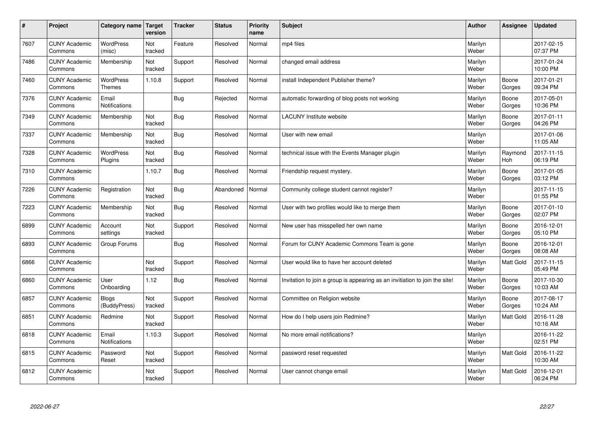| $\vert$ # | Project                         | Category name                 | <b>Target</b><br>version | <b>Tracker</b> | <b>Status</b> | <b>Priority</b><br>name | <b>Subject</b>                                                              | <b>Author</b>    | <b>Assignee</b>  | <b>Updated</b>         |
|-----------|---------------------------------|-------------------------------|--------------------------|----------------|---------------|-------------------------|-----------------------------------------------------------------------------|------------------|------------------|------------------------|
| 7607      | <b>CUNY Academic</b><br>Commons | <b>WordPress</b><br>(misc)    | Not<br>tracked           | Feature        | Resolved      | Normal                  | mp4 files                                                                   | Marilyn<br>Weber |                  | 2017-02-15<br>07:37 PM |
| 7486      | <b>CUNY Academic</b><br>Commons | Membership                    | Not<br>tracked           | Support        | Resolved      | Normal                  | changed email address                                                       | Marilyn<br>Weber |                  | 2017-01-24<br>10:00 PM |
| 7460      | <b>CUNY Academic</b><br>Commons | WordPress<br><b>Themes</b>    | 1.10.8                   | Support        | Resolved      | Normal                  | install Independent Publisher theme?                                        | Marilyn<br>Weber | Boone<br>Gorges  | 2017-01-21<br>09:34 PM |
| 7376      | <b>CUNY Academic</b><br>Commons | Email<br>Notifications        |                          | <b>Bug</b>     | Rejected      | Normal                  | automatic forwarding of blog posts not working                              | Marilyn<br>Weber | Boone<br>Gorges  | 2017-05-01<br>10:36 PM |
| 7349      | <b>CUNY Academic</b><br>Commons | Membership                    | Not<br>tracked           | <b>Bug</b>     | Resolved      | Normal                  | <b>LACUNY</b> Institute website                                             | Marilyn<br>Weber | Boone<br>Gorges  | 2017-01-11<br>04:26 PM |
| 7337      | <b>CUNY Academic</b><br>Commons | Membership                    | Not<br>tracked           | Bug            | Resolved      | Normal                  | User with new email                                                         | Marilyn<br>Weber |                  | 2017-01-06<br>11:05 AM |
| 7328      | <b>CUNY Academic</b><br>Commons | WordPress<br>Plugins          | Not<br>tracked           | <b>Bug</b>     | Resolved      | Normal                  | technical issue with the Events Manager plugin                              | Marilyn<br>Weber | Raymond<br>Hoh   | 2017-11-15<br>06:19 PM |
| 7310      | <b>CUNY Academic</b><br>Commons |                               | 1.10.7                   | <b>Bug</b>     | Resolved      | Normal                  | Friendship request mystery.                                                 | Marilyn<br>Weber | Boone<br>Gorges  | 2017-01-05<br>03:12 PM |
| 7226      | <b>CUNY Academic</b><br>Commons | Registration                  | Not<br>tracked           | Bug            | Abandoned     | Normal                  | Community college student cannot register?                                  | Marilyn<br>Weber |                  | 2017-11-15<br>01:55 PM |
| 7223      | <b>CUNY Academic</b><br>Commons | Membership                    | Not<br>tracked           | Bug            | Resolved      | Normal                  | User with two profiles would like to merge them                             | Marilyn<br>Weber | Boone<br>Gorges  | 2017-01-10<br>02:07 PM |
| 6899      | <b>CUNY Academic</b><br>Commons | Account<br>settings           | Not<br>tracked           | Support        | Resolved      | Normal                  | New user has misspelled her own name                                        | Marilyn<br>Weber | Boone<br>Gorges  | 2016-12-01<br>05:10 PM |
| 6893      | <b>CUNY Academic</b><br>Commons | Group Forums                  |                          | <b>Bug</b>     | Resolved      | Normal                  | Forum for CUNY Academic Commons Team is gone                                | Marilyn<br>Weber | Boone<br>Gorges  | 2016-12-01<br>08:08 AM |
| 6866      | <b>CUNY Academic</b><br>Commons |                               | Not<br>tracked           | Support        | Resolved      | Normal                  | User would like to have her account deleted                                 | Marilyn<br>Weber | Matt Gold        | 2017-11-15<br>05:49 PM |
| 6860      | <b>CUNY Academic</b><br>Commons | User<br>Onboarding            | 1.12                     | <b>Bug</b>     | Resolved      | Normal                  | Invitation to join a group is appearing as an invitiation to join the site! | Marilyn<br>Weber | Boone<br>Gorges  | 2017-10-30<br>10:03 AM |
| 6857      | <b>CUNY Academic</b><br>Commons | <b>Blogs</b><br>(BuddyPress)  | Not<br>tracked           | Support        | Resolved      | Normal                  | Committee on Religion website                                               | Marilyn<br>Weber | Boone<br>Gorges  | 2017-08-17<br>10:24 AM |
| 6851      | <b>CUNY Academic</b><br>Commons | Redmine                       | Not<br>tracked           | Support        | Resolved      | Normal                  | How do I help users join Redmine?                                           | Marilyn<br>Weber | <b>Matt Gold</b> | 2016-11-28<br>10:16 AM |
| 6818      | <b>CUNY Academic</b><br>Commons | Email<br><b>Notifications</b> | 1.10.3                   | Support        | Resolved      | Normal                  | No more email notifications?                                                | Marilyn<br>Weber |                  | 2016-11-22<br>02:51 PM |
| 6815      | <b>CUNY Academic</b><br>Commons | Password<br>Reset             | Not<br>tracked           | Support        | Resolved      | Normal                  | password reset requested                                                    | Marilyn<br>Weber | Matt Gold        | 2016-11-22<br>10:30 AM |
| 6812      | <b>CUNY Academic</b><br>Commons |                               | Not<br>tracked           | Support        | Resolved      | Normal                  | User cannot change email                                                    | Marilyn<br>Weber | <b>Matt Gold</b> | 2016-12-01<br>06:24 PM |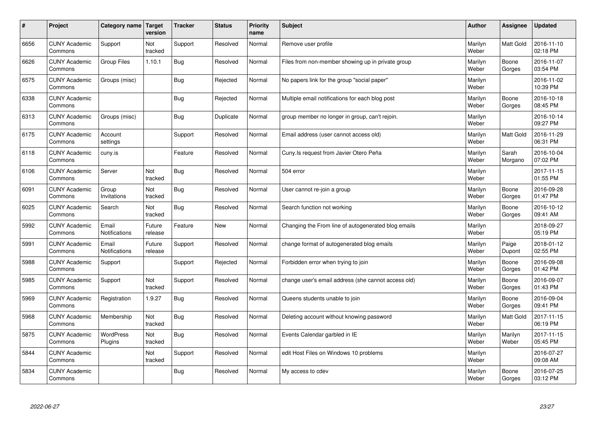| $\sharp$ | Project                         | Category name               | <b>Target</b><br>version | <b>Tracker</b> | <b>Status</b> | <b>Priority</b><br>name | <b>Subject</b>                                      | <b>Author</b>    | Assignee         | <b>Updated</b>         |
|----------|---------------------------------|-----------------------------|--------------------------|----------------|---------------|-------------------------|-----------------------------------------------------|------------------|------------------|------------------------|
| 6656     | <b>CUNY Academic</b><br>Commons | Support                     | Not<br>tracked           | Support        | Resolved      | Normal                  | Remove user profile                                 | Marilyn<br>Weber | <b>Matt Gold</b> | 2016-11-10<br>02:18 PM |
| 6626     | <b>CUNY Academic</b><br>Commons | <b>Group Files</b>          | 1.10.1                   | Bug            | Resolved      | Normal                  | Files from non-member showing up in private group   | Marilyn<br>Weber | Boone<br>Gorges  | 2016-11-07<br>03:54 PM |
| 6575     | <b>CUNY Academic</b><br>Commons | Groups (misc)               |                          | Bug            | Rejected      | Normal                  | No papers link for the group "social paper"         | Marilyn<br>Weber |                  | 2016-11-02<br>10:39 PM |
| 6338     | <b>CUNY Academic</b><br>Commons |                             |                          | Bug            | Rejected      | Normal                  | Multiple email notifications for each blog post     | Marilyn<br>Weber | Boone<br>Gorges  | 2016-10-18<br>08:45 PM |
| 6313     | <b>CUNY Academic</b><br>Commons | Groups (misc)               |                          | Bug            | Duplicate     | Normal                  | group member no longer in group, can't rejoin.      | Marilyn<br>Weber |                  | 2016-10-14<br>09:27 PM |
| 6175     | <b>CUNY Academic</b><br>Commons | Account<br>settings         |                          | Support        | Resolved      | Normal                  | Email address (user cannot access old)              | Marilyn<br>Weber | Matt Gold        | 2016-11-29<br>06:31 PM |
| 6118     | <b>CUNY Academic</b><br>Commons | cuny.is                     |                          | Feature        | Resolved      | Normal                  | Cuny.Is request from Javier Otero Peña              | Marilyn<br>Weber | Sarah<br>Morgano | 2016-10-04<br>07:02 PM |
| 6106     | <b>CUNY Academic</b><br>Commons | Server                      | Not<br>tracked           | Bug            | Resolved      | Normal                  | 504 error                                           | Marilyn<br>Weber |                  | 2017-11-15<br>01:55 PM |
| 6091     | <b>CUNY Academic</b><br>Commons | Group<br>Invitations        | Not<br>tracked           | Bug            | Resolved      | Normal                  | User cannot re-join a group                         | Marilyn<br>Weber | Boone<br>Gorges  | 2016-09-28<br>01:47 PM |
| 6025     | <b>CUNY Academic</b><br>Commons | Search                      | Not<br>tracked           | Bug            | Resolved      | Normal                  | Search function not working                         | Marilyn<br>Weber | Boone<br>Gorges  | 2016-10-12<br>09:41 AM |
| 5992     | <b>CUNY Academic</b><br>Commons | Email<br>Notifications      | Future<br>release        | Feature        | <b>New</b>    | Normal                  | Changing the From line of autogenerated blog emails | Marilyn<br>Weber |                  | 2018-09-27<br>05:19 PM |
| 5991     | <b>CUNY Academic</b><br>Commons | Email<br>Notifications      | Future<br>release        | Support        | Resolved      | Normal                  | change format of autogenerated blog emails          | Marilyn<br>Weber | Paige<br>Dupont  | 2018-01-12<br>02:55 PM |
| 5988     | <b>CUNY Academic</b><br>Commons | Support                     |                          | Support        | Rejected      | Normal                  | Forbidden error when trying to join                 | Marilyn<br>Weber | Boone<br>Gorges  | 2016-09-08<br>01:42 PM |
| 5985     | <b>CUNY Academic</b><br>Commons | Support                     | Not<br>tracked           | Support        | Resolved      | Normal                  | change user's email address (she cannot access old) | Marilyn<br>Weber | Boone<br>Gorges  | 2016-09-07<br>01:43 PM |
| 5969     | <b>CUNY Academic</b><br>Commons | Registration                | 1.9.27                   | Bug            | Resolved      | Normal                  | Queens students unable to join                      | Marilyn<br>Weber | Boone<br>Gorges  | 2016-09-04<br>09:41 PM |
| 5968     | <b>CUNY Academic</b><br>Commons | Membership                  | Not<br>tracked           | <b>Bug</b>     | Resolved      | Normal                  | Deleting account without knowing password           | Marilyn<br>Weber | <b>Matt Gold</b> | 2017-11-15<br>06:19 PM |
| 5875     | <b>CUNY Academic</b><br>Commons | <b>WordPress</b><br>Plugins | Not<br>tracked           | Bug            | Resolved      | Normal                  | Events Calendar garbled in IE                       | Marilyn<br>Weber | Marilyn<br>Weber | 2017-11-15<br>05:45 PM |
| 5844     | <b>CUNY Academic</b><br>Commons |                             | Not<br>tracked           | Support        | Resolved      | Normal                  | edit Host Files on Windows 10 problems              | Marilyn<br>Weber |                  | 2016-07-27<br>09:08 AM |
| 5834     | <b>CUNY Academic</b><br>Commons |                             |                          | Bug            | Resolved      | Normal                  | My access to cdev                                   | Marilyn<br>Weber | Boone<br>Gorges  | 2016-07-25<br>03:12 PM |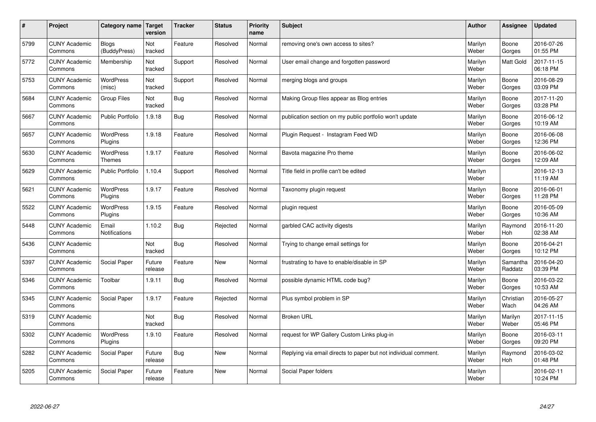| $\sharp$ | Project                         | Category name   Target            | version           | <b>Tracker</b> | <b>Status</b> | <b>Priority</b><br>name | <b>Subject</b>                                                  | <b>Author</b>    | Assignee              | <b>Updated</b>         |
|----------|---------------------------------|-----------------------------------|-------------------|----------------|---------------|-------------------------|-----------------------------------------------------------------|------------------|-----------------------|------------------------|
| 5799     | <b>CUNY Academic</b><br>Commons | <b>Blogs</b><br>(BuddyPress)      | Not<br>tracked    | Feature        | Resolved      | Normal                  | removing one's own access to sites?                             | Marilyn<br>Weber | Boone<br>Gorges       | 2016-07-26<br>01:55 PM |
| 5772     | <b>CUNY Academic</b><br>Commons | Membership                        | Not<br>tracked    | Support        | Resolved      | Normal                  | User email change and forgotten password                        | Marilyn<br>Weber | <b>Matt Gold</b>      | 2017-11-15<br>06:18 PM |
| 5753     | <b>CUNY Academic</b><br>Commons | <b>WordPress</b><br>(misc)        | Not<br>tracked    | Support        | Resolved      | Normal                  | merging blogs and groups                                        | Marilyn<br>Weber | Boone<br>Gorges       | 2016-08-29<br>03:09 PM |
| 5684     | <b>CUNY Academic</b><br>Commons | Group Files                       | Not<br>tracked    | Bug            | Resolved      | Normal                  | Making Group files appear as Blog entries                       | Marilyn<br>Weber | Boone<br>Gorges       | 2017-11-20<br>03:28 PM |
| 5667     | <b>CUNY Academic</b><br>Commons | <b>Public Portfolio</b>           | 1.9.18            | Bug            | Resolved      | Normal                  | publication section on my public portfolio won't update         | Marilyn<br>Weber | Boone<br>Gorges       | 2016-06-12<br>10:19 AM |
| 5657     | <b>CUNY Academic</b><br>Commons | WordPress<br>Plugins              | 1.9.18            | Feature        | Resolved      | Normal                  | Plugin Request - Instagram Feed WD                              | Marilyn<br>Weber | Boone<br>Gorges       | 2016-06-08<br>12:36 PM |
| 5630     | <b>CUNY Academic</b><br>Commons | <b>WordPress</b><br><b>Themes</b> | 1.9.17            | Feature        | Resolved      | Normal                  | Bavota magazine Pro theme                                       | Marilyn<br>Weber | Boone<br>Gorges       | 2016-06-02<br>12:09 AM |
| 5629     | <b>CUNY Academic</b><br>Commons | <b>Public Portfolio</b>           | 1.10.4            | Support        | Resolved      | Normal                  | Title field in profile can't be edited                          | Marilyn<br>Weber |                       | 2016-12-13<br>11:19 AM |
| 5621     | <b>CUNY Academic</b><br>Commons | <b>WordPress</b><br>Plugins       | 1.9.17            | Feature        | Resolved      | Normal                  | Taxonomy plugin request                                         | Marilyn<br>Weber | Boone<br>Gorges       | 2016-06-01<br>11:28 PM |
| 5522     | <b>CUNY Academic</b><br>Commons | WordPress<br>Plugins              | 1.9.15            | Feature        | Resolved      | Normal                  | plugin request                                                  | Marilyn<br>Weber | Boone<br>Gorges       | 2016-05-09<br>10:36 AM |
| 5448     | <b>CUNY Academic</b><br>Commons | Email<br>Notifications            | 1.10.2            | <b>Bug</b>     | Rejected      | Normal                  | garbled CAC activity digests                                    | Marilyn<br>Weber | Raymond<br>Hoh        | 2016-11-20<br>02:38 AM |
| 5436     | <b>CUNY Academic</b><br>Commons |                                   | Not<br>tracked    | <b>Bug</b>     | Resolved      | Normal                  | Trying to change email settings for                             | Marilyn<br>Weber | Boone<br>Gorges       | 2016-04-21<br>10:12 PM |
| 5397     | <b>CUNY Academic</b><br>Commons | Social Paper                      | Future<br>release | Feature        | <b>New</b>    | Normal                  | frustrating to have to enable/disable in SP                     | Marilyn<br>Weber | Samantha<br>Raddatz   | 2016-04-20<br>03:39 PM |
| 5346     | <b>CUNY Academic</b><br>Commons | Toolbar                           | 1.9.11            | Bug            | Resolved      | Normal                  | possible dynamic HTML code bug?                                 | Marilyn<br>Weber | Boone<br>Gorges       | 2016-03-22<br>10:53 AM |
| 5345     | <b>CUNY Academic</b><br>Commons | Social Paper                      | 1.9.17            | Feature        | Rejected      | Normal                  | Plus symbol problem in SP                                       | Marilyn<br>Weber | Christian<br>Wach     | 2016-05-27<br>04:26 AM |
| 5319     | <b>CUNY Academic</b><br>Commons |                                   | Not<br>tracked    | <b>Bug</b>     | Resolved      | Normal                  | <b>Broken URL</b>                                               | Marilyn<br>Weber | Marilyn<br>Weber      | 2017-11-15<br>05:46 PM |
| 5302     | <b>CUNY Academic</b><br>Commons | WordPress<br>Plugins              | 1.9.10            | Feature        | Resolved      | Normal                  | request for WP Gallery Custom Links plug-in                     | Marilyn<br>Weber | Boone<br>Gorges       | 2016-03-11<br>09:20 PM |
| 5282     | <b>CUNY Academic</b><br>Commons | Social Paper                      | Future<br>release | Bug            | New           | Normal                  | Replying via email directs to paper but not individual comment. | Marilyn<br>Weber | Raymond<br><b>Hoh</b> | 2016-03-02<br>01:48 PM |
| 5205     | <b>CUNY Academic</b><br>Commons | Social Paper                      | Future<br>release | Feature        | <b>New</b>    | Normal                  | Social Paper folders                                            | Marilyn<br>Weber |                       | 2016-02-11<br>10:24 PM |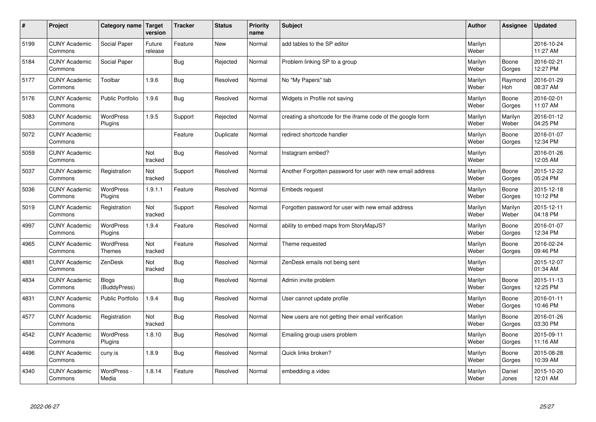| $\pmb{\#}$ | Project                         | Category name                     | Target<br>version | <b>Tracker</b> | <b>Status</b> | <b>Priority</b><br>name | <b>Subject</b>                                              | <b>Author</b>    | Assignee              | <b>Updated</b>         |
|------------|---------------------------------|-----------------------------------|-------------------|----------------|---------------|-------------------------|-------------------------------------------------------------|------------------|-----------------------|------------------------|
| 5199       | <b>CUNY Academic</b><br>Commons | Social Paper                      | Future<br>release | Feature        | <b>New</b>    | Normal                  | add tables to the SP editor                                 | Marilyn<br>Weber |                       | 2016-10-24<br>11:27 AM |
| 5184       | <b>CUNY Academic</b><br>Commons | Social Paper                      |                   | <b>Bug</b>     | Rejected      | Normal                  | Problem linking SP to a group                               | Marilyn<br>Weber | Boone<br>Gorges       | 2016-02-21<br>12:27 PM |
| 5177       | <b>CUNY Academic</b><br>Commons | Toolbar                           | 1.9.6             | <b>Bug</b>     | Resolved      | Normal                  | No "My Papers" tab                                          | Marilyn<br>Weber | Raymond<br><b>Hoh</b> | 2016-01-29<br>08:37 AM |
| 5176       | <b>CUNY Academic</b><br>Commons | <b>Public Portfolio</b>           | 1.9.6             | <b>Bug</b>     | Resolved      | Normal                  | Widgets in Profile not saving                               | Marilyn<br>Weber | Boone<br>Gorges       | 2016-02-01<br>11:07 AM |
| 5083       | <b>CUNY Academic</b><br>Commons | <b>WordPress</b><br>Plugins       | 1.9.5             | Support        | Rejected      | Normal                  | creating a shortcode for the iframe code of the google form | Marilyn<br>Weber | Marilyn<br>Weber      | 2016-01-12<br>04:25 PM |
| 5072       | <b>CUNY Academic</b><br>Commons |                                   |                   | Feature        | Duplicate     | Normal                  | redirect shortcode handler                                  | Marilyn<br>Weber | Boone<br>Gorges       | 2016-01-07<br>12:34 PM |
| 5059       | <b>CUNY Academic</b><br>Commons |                                   | Not<br>tracked    | <b>Bug</b>     | Resolved      | Normal                  | Instagram embed?                                            | Marilyn<br>Weber |                       | 2016-01-26<br>12:05 AM |
| 5037       | <b>CUNY Academic</b><br>Commons | Registration                      | Not<br>tracked    | Support        | Resolved      | Normal                  | Another Forgotten password for user with new email address  | Marilyn<br>Weber | Boone<br>Gorges       | 2015-12-22<br>05:24 PM |
| 5036       | <b>CUNY Academic</b><br>Commons | <b>WordPress</b><br>Plugins       | 1.9.1.1           | Feature        | Resolved      | Normal                  | Embeds request                                              | Marilyn<br>Weber | Boone<br>Gorges       | 2015-12-18<br>10:12 PM |
| 5019       | <b>CUNY Academic</b><br>Commons | Registration                      | Not<br>tracked    | Support        | Resolved      | Normal                  | Forgotten password for user with new email address          | Marilyn<br>Weber | Marilyn<br>Weber      | 2015-12-11<br>04:18 PM |
| 4997       | <b>CUNY Academic</b><br>Commons | WordPress<br>Plugins              | 1.9.4             | Feature        | Resolved      | Normal                  | ability to embed maps from StoryMapJS?                      | Marilyn<br>Weber | Boone<br>Gorges       | 2016-01-07<br>12:34 PM |
| 4965       | <b>CUNY Academic</b><br>Commons | <b>WordPress</b><br><b>Themes</b> | Not<br>tracked    | Feature        | Resolved      | Normal                  | Theme requested                                             | Marilyn<br>Weber | Boone<br>Gorges       | 2016-02-24<br>09:46 PM |
| 4881       | <b>CUNY Academic</b><br>Commons | ZenDesk                           | Not<br>tracked    | <b>Bug</b>     | Resolved      | Normal                  | ZenDesk emails not being sent                               | Marilyn<br>Weber |                       | 2015-12-07<br>01:34 AM |
| 4834       | <b>CUNY Academic</b><br>Commons | Blogs<br>(BuddyPress)             |                   | <b>Bug</b>     | Resolved      | Normal                  | Admin invite problem                                        | Marilyn<br>Weber | Boone<br>Gorges       | 2015-11-13<br>12:25 PM |
| 4831       | <b>CUNY Academic</b><br>Commons | <b>Public Portfolio</b>           | 1.9.4             | Bug            | Resolved      | Normal                  | User cannot update profile                                  | Marilyn<br>Weber | Boone<br>Gorges       | 2016-01-11<br>10:46 PM |
| 4577       | <b>CUNY Academic</b><br>Commons | Registration                      | Not<br>tracked    | <b>Bug</b>     | Resolved      | Normal                  | New users are not getting their email verification          | Marilyn<br>Weber | Boone<br>Gorges       | 2016-01-26<br>03:30 PM |
| 4542       | <b>CUNY Academic</b><br>Commons | WordPress<br>Plugins              | 1.8.10            | <b>Bug</b>     | Resolved      | Normal                  | Emailing group users problem                                | Marilyn<br>Weber | Boone<br>Gorges       | 2015-09-11<br>11:16 AM |
| 4496       | <b>CUNY Academic</b><br>Commons | cuny.is                           | 1.8.9             | Bug            | Resolved      | Normal                  | Quick links broken?                                         | Marilyn<br>Weber | Boone<br>Gorges       | 2015-08-28<br>10:39 AM |
| 4340       | <b>CUNY Academic</b><br>Commons | WordPress -<br>Media              | 1.8.14            | Feature        | Resolved      | Normal                  | embedding a video                                           | Marilyn<br>Weber | Daniel<br>Jones       | 2015-10-20<br>12:01 AM |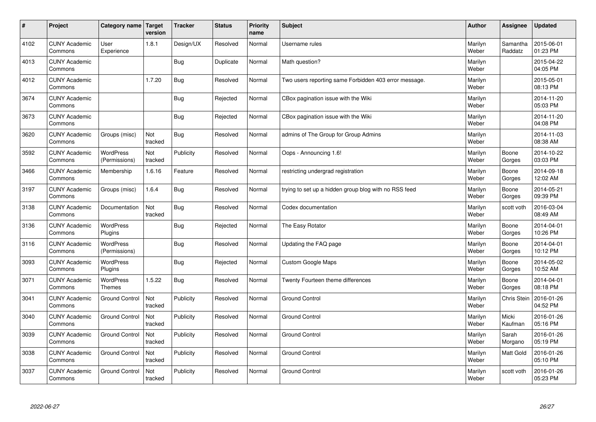| $\sharp$ | Project                         | Category name   Target            | version        | <b>Tracker</b> | <b>Status</b> | <b>Priority</b><br>name | <b>Subject</b>                                        | <b>Author</b>    | Assignee            | <b>Updated</b>         |
|----------|---------------------------------|-----------------------------------|----------------|----------------|---------------|-------------------------|-------------------------------------------------------|------------------|---------------------|------------------------|
| 4102     | <b>CUNY Academic</b><br>Commons | User<br>Experience                | 1.8.1          | Design/UX      | Resolved      | Normal                  | Username rules                                        | Marilyn<br>Weber | Samantha<br>Raddatz | 2015-06-01<br>01:23 PM |
| 4013     | <b>CUNY Academic</b><br>Commons |                                   |                | Bug            | Duplicate     | Normal                  | Math question?                                        | Marilyn<br>Weber |                     | 2015-04-22<br>04:05 PM |
| 4012     | <b>CUNY Academic</b><br>Commons |                                   | 1.7.20         | <b>Bug</b>     | Resolved      | Normal                  | Two users reporting same Forbidden 403 error message. | Marilyn<br>Weber |                     | 2015-05-01<br>08:13 PM |
| 3674     | <b>CUNY Academic</b><br>Commons |                                   |                | Bug            | Rejected      | Normal                  | CBox pagination issue with the Wiki                   | Marilyn<br>Weber |                     | 2014-11-20<br>05:03 PM |
| 3673     | <b>CUNY Academic</b><br>Commons |                                   |                | Bug            | Rejected      | Normal                  | CBox pagination issue with the Wiki                   | Marilyn<br>Weber |                     | 2014-11-20<br>04:08 PM |
| 3620     | <b>CUNY Academic</b><br>Commons | Groups (misc)                     | Not<br>tracked | Bug            | Resolved      | Normal                  | admins of The Group for Group Admins                  | Marilyn<br>Weber |                     | 2014-11-03<br>08:38 AM |
| 3592     | <b>CUNY Academic</b><br>Commons | <b>WordPress</b><br>(Permissions) | Not<br>tracked | Publicity      | Resolved      | Normal                  | Oops - Announcing 1.6!                                | Marilyn<br>Weber | Boone<br>Gorges     | 2014-10-22<br>03:03 PM |
| 3466     | <b>CUNY Academic</b><br>Commons | Membership                        | 1.6.16         | Feature        | Resolved      | Normal                  | restricting undergrad registration                    | Marilyn<br>Weber | Boone<br>Gorges     | 2014-09-18<br>12:02 AM |
| 3197     | <b>CUNY Academic</b><br>Commons | Groups (misc)                     | 1.6.4          | Bug            | Resolved      | Normal                  | trying to set up a hidden group blog with no RSS feed | Marilyn<br>Weber | Boone<br>Gorges     | 2014-05-21<br>09:39 PM |
| 3138     | <b>CUNY Academic</b><br>Commons | Documentation                     | Not<br>tracked | <b>Bug</b>     | Resolved      | Normal                  | Codex documentation                                   | Marilyn<br>Weber | scott voth          | 2016-03-04<br>08:49 AM |
| 3136     | <b>CUNY Academic</b><br>Commons | <b>WordPress</b><br>Plugins       |                | <b>Bug</b>     | Rejected      | Normal                  | The Easy Rotator                                      | Marilyn<br>Weber | Boone<br>Gorges     | 2014-04-01<br>10:26 PM |
| 3116     | <b>CUNY Academic</b><br>Commons | <b>WordPress</b><br>(Permissions) |                | <b>Bug</b>     | Resolved      | Normal                  | Updating the FAQ page                                 | Marilyn<br>Weber | Boone<br>Gorges     | 2014-04-01<br>10:12 PM |
| 3093     | <b>CUNY Academic</b><br>Commons | <b>WordPress</b><br>Plugins       |                | <b>Bug</b>     | Rejected      | Normal                  | Custom Google Maps                                    | Marilyn<br>Weber | Boone<br>Gorges     | 2014-05-02<br>10:52 AM |
| 3071     | <b>CUNY Academic</b><br>Commons | <b>WordPress</b><br><b>Themes</b> | 1.5.22         | Bug            | Resolved      | Normal                  | Twenty Fourteen theme differences                     | Marilyn<br>Weber | Boone<br>Gorges     | 2014-04-01<br>08:18 PM |
| 3041     | <b>CUNY Academic</b><br>Commons | <b>Ground Control</b>             | Not<br>tracked | Publicity      | Resolved      | Normal                  | <b>Ground Control</b>                                 | Marilyn<br>Weber | Chris Stein         | 2016-01-26<br>04:52 PM |
| 3040     | <b>CUNY Academic</b><br>Commons | <b>Ground Control</b>             | Not<br>tracked | Publicity      | Resolved      | Normal                  | <b>Ground Control</b>                                 | Marilyn<br>Weber | Micki<br>Kaufman    | 2016-01-26<br>05:16 PM |
| 3039     | <b>CUNY Academic</b><br>Commons | <b>Ground Control</b>             | Not<br>tracked | Publicity      | Resolved      | Normal                  | <b>Ground Control</b>                                 | Marilyn<br>Weber | Sarah<br>Morgano    | 2016-01-26<br>05:19 PM |
| 3038     | <b>CUNY Academic</b><br>Commons | <b>Ground Control</b>             | Not<br>tracked | Publicity      | Resolved      | Normal                  | <b>Ground Control</b>                                 | Marilyn<br>Weber | Matt Gold           | 2016-01-26<br>05:10 PM |
| 3037     | <b>CUNY Academic</b><br>Commons | <b>Ground Control</b>             | Not<br>tracked | Publicity      | Resolved      | Normal                  | <b>Ground Control</b>                                 | Marilyn<br>Weber | scott voth          | 2016-01-26<br>05:23 PM |